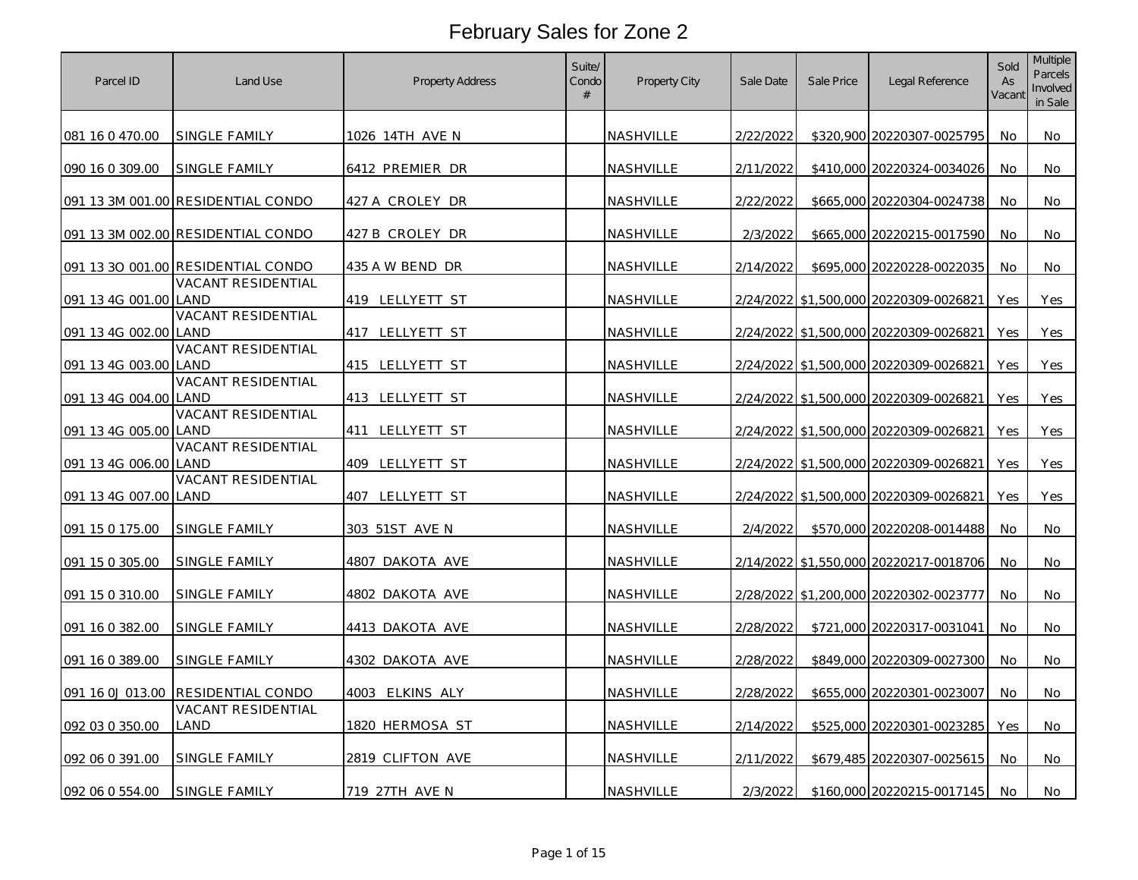| Parcel ID             | Land Use                           | Property Address | Suite/<br>Condo<br># | Property City    | Sale Date | Sale Price | Legal Reference                        | Sold<br>As<br>Vacant | <b>Multiple</b><br>Parcels<br>Involved<br>in Sale |
|-----------------------|------------------------------------|------------------|----------------------|------------------|-----------|------------|----------------------------------------|----------------------|---------------------------------------------------|
| 081 16 0 470.00       | SINGLE FAMILY                      | 1026 14TH AVE N  |                      | NASHVILLE        | 2/22/2022 |            | \$320,900 20220307-0025795             | No                   | No                                                |
| 090 16 0 309.00       | SINGLE FAMILY                      | 6412 PREMIER DR  |                      | NASHVILLE        | 2/11/2022 |            | \$410,000 20220324-0034026             | No                   | No                                                |
|                       | 091 13 3M 001.00 RESIDENTIAL CONDO | 427 A CROLEY DR  |                      | NASHVILLE        | 2/22/2022 |            | \$665,000 20220304-0024738             | No                   | No                                                |
|                       | 091 13 3M 002.00 RESIDENTIAL CONDO | 427 B CROLEY DR  |                      | NASHVILLE        | 2/3/2022  |            | \$665,000 20220215-0017590             | <b>No</b>            | No                                                |
|                       | 091 13 30 001.00 RESIDENTIAL CONDO | 435 A W BEND DR  |                      | <b>NASHVILLE</b> | 2/14/2022 |            | \$695,000 20220228-0022035             | No.                  | No.                                               |
| 091 13 4G 001.00 LAND | VACANT RESIDENTIAL                 | 419 LELLYETT ST  |                      | NASHVILLE        |           |            | 2/24/2022 \$1,500,000 20220309-0026821 | Yes                  | Yes                                               |
| 091 13 4G 002.00      | VACANT RESIDENTIAL<br>LAND         | 417 LELLYETT ST  |                      | NASHVILLE        |           |            | 2/24/2022 \$1,500,000 20220309-0026821 | Yes                  | Yes                                               |
| 091 13 4G 003.00 LAND | VACANT RESIDENTIAL                 | 415 LELLYETT ST  |                      | NASHVILLE        |           |            | 2/24/2022 \$1,500,000 20220309-0026821 | Yes                  | Yes                                               |
| 091 13 4G 004.00 LAND | VACANT RESIDENTIAL                 | 413 LELLYETT ST  |                      | NASHVILLE        |           |            | 2/24/2022 \$1,500,000 20220309-0026821 | Yes                  | Yes                                               |
| 091 13 4G 005.00      | VACANT RESIDENTIAL<br>land         | 411 LELLYETT ST  |                      | NASHVILLE        |           |            | 2/24/2022 \$1,500,000 20220309-0026821 | Yes                  | Yes                                               |
| 091 13 4G 006.00      | VACANT RESIDENTIAL<br>LAND         | 409 LELLYETT ST  |                      | NASHVILLE        |           |            | 2/24/2022 \$1,500,000 20220309-0026821 | Yes                  | Yes                                               |
| 091 13 4G 007.00 LAND | <b>VACANT RESIDENTIAL</b>          | 407 LELLYETT ST  |                      | NASHVILLE        |           |            | 2/24/2022 \$1,500,000 20220309-0026821 | Yes                  | Yes                                               |
| 091 15 0 175.00       | SINGLE FAMILY                      | 303 51ST AVE N   |                      | NASHVILLE        | 2/4/2022  |            | \$570,000 20220208-0014488             | No                   | No.                                               |
| 091 15 0 305.00       | SINGLE FAMILY                      | 4807 DAKOTA AVE  |                      | NASHVILLE        |           |            | 2/14/2022 \$1,550,000 20220217-0018706 | No                   | No                                                |
| 091 15 0 310.00       | SINGLE FAMILY                      | 4802 DAKOTA AVE  |                      | NASHVILLE        |           |            | 2/28/2022 \$1,200,000 20220302-0023777 | No                   | No                                                |
| 091 16 0 382.00       | SINGLE FAMILY                      | 4413 DAKOTA AVE  |                      | NASHVILLE        | 2/28/2022 |            | \$721,000 20220317-0031041             | No                   | No                                                |
| 091 16 0 389.00       | SINGLE FAMILY                      | 4302 DAKOTA AVE  |                      | NASHVILLE        | 2/28/2022 |            | \$849,000 20220309-0027300             | No                   | No                                                |
|                       | 091 16 0J 013.00 RESIDENTIAL CONDO | 4003 ELKINS ALY  |                      | NASHVILLE        | 2/28/2022 |            | \$655,000 20220301-0023007             | No                   | No                                                |
| 092 03 0 350.00       | VACANT RESIDENTIAL<br>LAND         | 1820 HERMOSA ST  |                      | NASHVILLE        | 2/14/2022 |            | \$525,000 20220301-0023285             | Yes                  | No.                                               |
| 092 06 0 391.00       | SINGLE FAMILY                      | 2819 CLIFTON AVE |                      | NASHVILLE        | 2/11/2022 |            | \$679,485 20220307-0025615             | No                   | No                                                |
| 092 06 0 554.00       | <b>SINGLE FAMILY</b>               | 719 27TH AVE N   |                      | NASHVILLE        | 2/3/2022  |            | \$160,000 20220215-0017145             | No                   | No.                                               |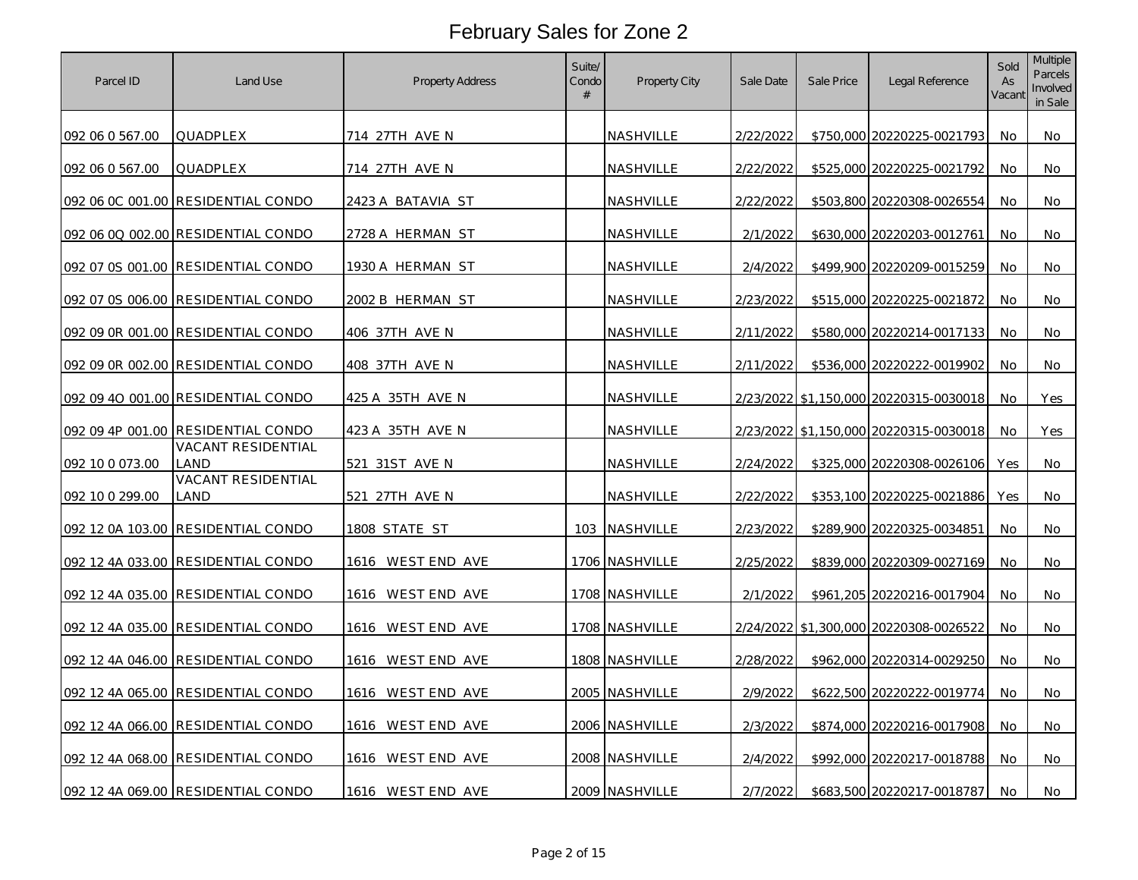| Parcel ID       | Land Use                           | Property Address  | Suite/<br>Condo<br># | Property City    | Sale Date | Sale Price | Legal Reference                        | Sold<br>As<br>Vacant | Multiple<br>Parcels<br>Involved<br>in Sale |
|-----------------|------------------------------------|-------------------|----------------------|------------------|-----------|------------|----------------------------------------|----------------------|--------------------------------------------|
| 092 06 0 567.00 | QUADPLEX                           | 714 27TH AVE N    |                      | <b>NASHVILLE</b> | 2/22/2022 |            | \$750,000 20220225-0021793             | No                   | No                                         |
| 092 06 0 567.00 | QUADPLEX                           | 714 27TH AVE N    |                      | NASHVILLE        | 2/22/2022 |            | \$525,000 20220225-0021792             | No                   | No                                         |
|                 | 092 06 0C 001.00 RESIDENTIAL CONDO | 2423 A BATAVIA ST |                      | NASHVILLE        | 2/22/2022 |            | \$503,800 20220308-0026554             | No                   | No                                         |
|                 | 092 06 0Q 002.00 RESIDENTIAL CONDO | 2728 A HERMAN ST  |                      | NASHVILLE        | 2/1/2022  |            | \$630,000 20220203-0012761             | No                   | No                                         |
|                 | 092 07 0S 001.00 RESIDENTIAL CONDO | 1930 A HERMAN ST  |                      | <b>NASHVILLE</b> | 2/4/2022  |            | \$499,900 20220209-0015259             | No                   | No                                         |
|                 | 092 07 0S 006.00 RESIDENTIAL CONDO | 2002 B HERMAN ST  |                      | <b>NASHVILLE</b> | 2/23/2022 |            | \$515,000 20220225-0021872             | No                   | No                                         |
|                 | 092 09 0R 001.00 RESIDENTIAL CONDO | 406 37TH AVE N    |                      | NASHVILLE        | 2/11/2022 |            | \$580,000 20220214-0017133             | No                   | No                                         |
|                 | 092 09 0R 002.00 RESIDENTIAL CONDO | 408 37TH AVE N    |                      | NASHVILLE        | 2/11/2022 |            | \$536,000 20220222-0019902             | No                   | No.                                        |
|                 | 092 09 40 001.00 RESIDENTIAL CONDO | 425 A 35TH AVE N  |                      | NASHVILLE        | 2/23/2022 |            | \$1,150,000 20220315-0030018           | No                   | Yes                                        |
|                 | 092 09 4P 001.00 RESIDENTIAL CONDO | 423 A 35TH AVE N  |                      | NASHVILLE        | 2/23/2022 |            | \$1,150,000 20220315-0030018           | No                   | Yes                                        |
| 092 10 0 073.00 | VACANT RESIDENTIAL<br>land         | 521 31ST AVE N    |                      | <u>NASHVILLE</u> | 2/24/2022 |            | \$325,000 20220308-0026106             | Yes                  | No                                         |
| 092 10 0 299.00 | VACANT RESIDENTIAL<br>LAND         | 521 27TH AVE N    |                      | NASHVILLE        | 2/22/2022 |            | \$353,100 20220225-0021886             | Yes                  | No                                         |
|                 | 092 12 0A 103.00 RESIDENTIAL CONDO | 1808 STATE ST     |                      | 103 NASHVILLE    | 2/23/2022 |            | \$289,900 20220325-0034851             | No                   | No                                         |
|                 | 092 12 4A 033.00 RESIDENTIAL CONDO | 1616 WEST END AVE |                      | 1706 NASHVILLE   | 2/25/2022 |            | \$839,000 20220309-0027169             | No                   | No                                         |
|                 | 092 12 4A 035.00 RESIDENTIAL CONDO | 1616 WESTEND AVE  |                      | 1708 NASHVILLE   | 2/1/2022  |            | \$961,205 20220216-0017904             | No                   | No                                         |
|                 | 092 12 4A 035.00 RESIDENTIAL CONDO | 1616 WEST END AVE |                      | 1708 NASHVILLE   |           |            | 2/24/2022 \$1,300,000 20220308-0026522 | No                   | No                                         |
|                 | 092 12 4A 046.00 RESIDENTIAL CONDO | 1616 WESTEND AVE  |                      | 1808 NASHVILLE   | 2/28/2022 |            | \$962,000 20220314-0029250             | No                   | No                                         |
|                 | 092 12 4A 065.00 RESIDENTIAL CONDO | 1616 WEST END AVE |                      | 2005 NASHVILLE   | 2/9/2022  |            | \$622,500 20220222-0019774             | No                   | No                                         |
|                 | 092 12 4A 066.00 RESIDENTIAL CONDO | 1616 WESTEND AVE  |                      | 2006 NASHVILLE   | 2/3/2022  |            | \$874,000 20220216-0017908             | No                   | No                                         |
|                 | 092 12 4A 068.00 RESIDENTIAL CONDO | 1616 WEST END AVE |                      | 2008 NASHVILLE   | 2/4/2022  |            | \$992,000 20220217-0018788             | No                   | No                                         |
|                 | 092 12 4A 069.00 RESIDENTIAL CONDO | 1616 WEST END AVE |                      | 2009 NASHVILLE   | 2/7/2022  |            | \$683,500 20220217-0018787             | No                   | No                                         |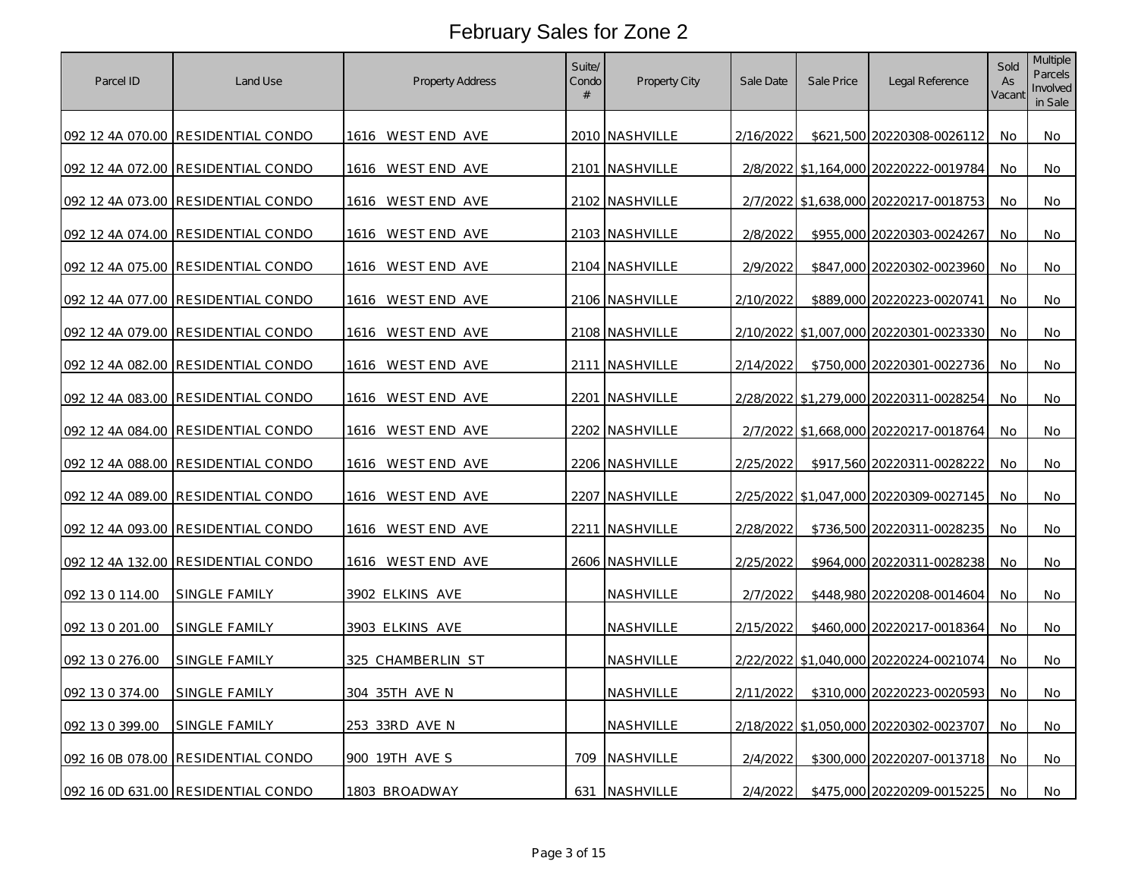| Parcel ID       | Land Use                            | Property Address  | Suite/<br>Condo<br># | Property City  | Sale Date | Sale Price | Legal Reference                        | Sold<br>As<br>Vacant | Multiple<br>Parcels<br>Involved<br>in Sale |
|-----------------|-------------------------------------|-------------------|----------------------|----------------|-----------|------------|----------------------------------------|----------------------|--------------------------------------------|
|                 | 092 12 4A 070.00 RESIDENTIAL CONDO  | 1616 WEST END AVE |                      | 2010 NASHVILLE | 2/16/2022 |            | \$621,500 20220308-0026112             | No                   | No                                         |
|                 | 092 12 4A 072.00 RESIDENTIAL CONDO  | 1616 WEST END AVE |                      | 2101 NASHVILLE |           |            | 2/8/2022 \$1,164,000 20220222-0019784  | No                   | No                                         |
|                 | 092 12 4A 073.00 RESIDENTIAL CONDO  | 1616 WESTEND AVE  |                      | 2102 NASHVILLE |           |            | 2/7/2022 \$1,638,000 20220217-0018753  | No                   | No                                         |
|                 | 092 12 4A 074.00 RESIDENTIAL CONDO  | 1616 WESTEND AVE  |                      | 2103 NASHVILLE | 2/8/2022  |            | \$955,000 20220303-0024267             | No                   | No                                         |
|                 | 092 12 4A 075.00 RESIDENTIAL CONDO  | 1616 WEST END AVE |                      | 2104 NASHVILLE | 2/9/2022  |            | \$847,000 20220302-0023960             | No                   | No                                         |
|                 | 092 12 4A 077.00 RESIDENTIAL CONDO  | 1616 WESTEND AVE  |                      | 2106 NASHVILLE | 2/10/2022 |            | \$889,000 20220223-0020741             | No                   | No                                         |
|                 | 092 12 4A 079.00 RESIDENTIAL CONDO  | 1616 WESTEND AVE  |                      | 2108 NASHVILLE | 2/10/2022 |            | \$1,007,000 20220301-0023330           | No                   | No                                         |
|                 | 092 12 4A 082.00 RESIDENTIAL CONDO  | 1616 WESTEND AVE  |                      | 2111 NASHVILLE | 2/14/2022 |            | \$750,000 20220301-0022736             | No                   | No                                         |
|                 | 092 12 4A 083.00  RESIDENTIAL CONDO | 1616 WESTEND AVE  |                      | 2201 NASHVILLE | 2/28/2022 |            | \$1,279,000 20220311-0028254           | No                   | No                                         |
|                 | 092 12 4A 084.00 RESIDENTIAL CONDO  | 1616 WEST END AVE |                      | 2202 NASHVILLE | 2/7/2022  |            | \$1,668,000 20220217-0018764           | No                   | No                                         |
|                 | 092 12 4A 088.00 RESIDENTIAL CONDO  | 1616 WESTEND AVE  |                      | 2206 NASHVILLE | 2/25/2022 |            | \$917,560 20220311-0028222             | No                   | No                                         |
|                 | 092 12 4A 089.00 RESIDENTIAL CONDO  | 1616 WESTEND AVE  |                      | 2207 NASHVILLE | 2/25/2022 |            | \$1,047,000 20220309-0027145           | No                   | No                                         |
|                 | 092 12 4A 093.00 RESIDENTIAL CONDO  | 1616 WESTEND AVE  |                      | 2211 NASHVILLE | 2/28/2022 |            | \$736,500 20220311-0028235             | No                   | No                                         |
|                 | 092 12 4A 132.00 RESIDENTIAL CONDO  | 1616 WEST END AVE |                      | 2606 NASHVILLE | 2/25/2022 |            | \$964,000 20220311-0028238             | No                   | No                                         |
| 092 13 0 114.00 | SINGLE FAMILY                       | 3902 ELKINS AVE   |                      | NASHVILLE      | 2/7/2022  |            | \$448,980 20220208-0014604             | No                   | No                                         |
| 092 13 0 201.00 | SINGLE FAMILY                       | 3903 ELKINS AVE   |                      | NASHVILLE      | 2/15/2022 |            | \$460,000 20220217-0018364             | No                   | No                                         |
| 092 13 0 276.00 | SINGLE FAMILY                       | 325 CHAMBERLIN ST |                      | NASHVILLE      | 2/22/2022 |            | \$1,040,000 20220224-0021074           | No                   | No                                         |
| 092 13 0 374.00 | <b>SINGLE FAMILY</b>                | 304 35TH AVE N    |                      | NASHVILLE      | 2/11/2022 |            | \$310,000 20220223-0020593             | No                   | No                                         |
| 092 13 0 399.00 | SINGLE FAMILY                       | 253 33RD AVE N    |                      | NASHVILLE      |           |            | 2/18/2022 \$1,050,000 20220302-0023707 | No                   | No                                         |
|                 | 092 16 0B 078.00 RESIDENTIAL CONDO  | 900 19TH AVE S    | 709                  | NASHVILLE      | 2/4/2022  |            | \$300,000 20220207-0013718             | No                   | No                                         |
|                 | 092 16 0D 631.00 RESIDENTIAL CONDO  | 1803 BROADWAY     | 631                  | NASHVILLE      | 2/4/2022  |            | \$475,000 20220209-0015225             | No                   | No                                         |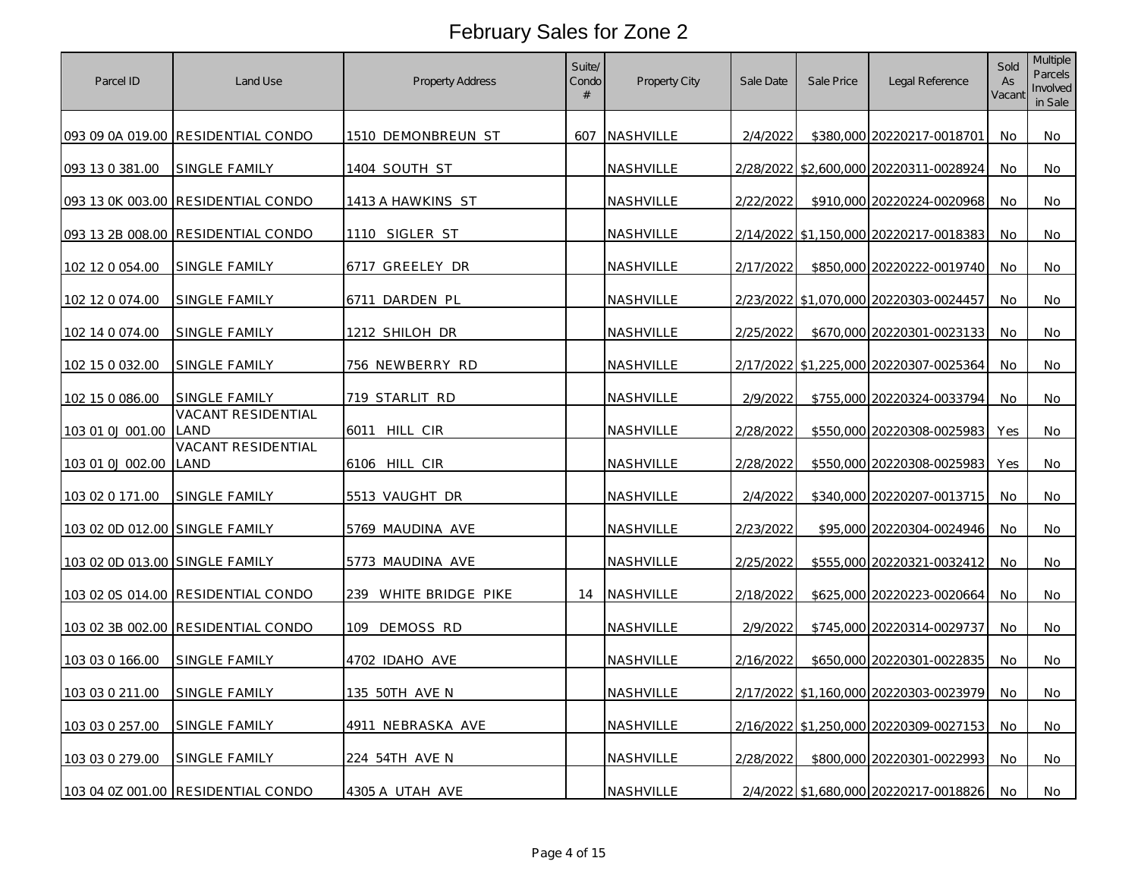| Parcel ID                      | Land Use                           | Property Address      | Suite/<br>Condo<br># | Property City    | Sale Date | Sale Price | Legal Reference                        | Sold<br>As<br>Vacant | <b>Multiple</b><br>Parcels<br>Involved<br>in Sale |
|--------------------------------|------------------------------------|-----------------------|----------------------|------------------|-----------|------------|----------------------------------------|----------------------|---------------------------------------------------|
|                                | 093 09 0A 019.00 RESIDENTIAL CONDO | 1510 DEMONBREUN ST    |                      | 607 NASHVILLE    | 2/4/2022  |            | \$380,000 20220217-0018701             | No                   | No                                                |
| 093 13 0 381.00                | SINGLE FAMILY                      | 1404 SOUTH ST         |                      | NASHVILLE        |           |            | 2/28/2022 \$2,600,000 20220311-0028924 | No                   | No                                                |
|                                | 093 13 0K 003.00 RESIDENTIAL CONDO | 1413 A HAWKINS ST     |                      | NASHVILLE        | 2/22/2022 |            | \$910,000 20220224-0020968             | No                   | No                                                |
|                                | 093 13 2B 008.00 RESIDENTIAL CONDO | 1110 SIGLER ST        |                      | NASHVILLE        |           |            | 2/14/2022 \$1,150,000 20220217-0018383 | No                   | No                                                |
| 102 12 0 054.00                | SINGLE FAMILY                      | 6717 GREELEY DR       |                      | NASHVILLE        | 2/17/2022 |            | \$850,000 20220222-0019740             | No                   | No                                                |
| 102 12 0 074.00                | SINGLE FAMILY                      | 6711<br>DARDEN PL     |                      | NASHVILLE        |           |            | 2/23/2022 \$1,070,000 20220303-0024457 | No                   | No                                                |
| 102 14 0 074.00                | <b>SINGLE FAMILY</b>               | 1212 SHILOH DR        |                      | NASHVILLE        | 2/25/2022 |            | \$670,000 20220301-0023133             | No                   | No                                                |
| 102 15 0 032.00                | SINGLE FAMILY                      | 756 NEWBERRY RD       |                      | NASHVILLE        |           |            | 2/17/2022 \$1,225,000 20220307-0025364 | No                   | No.                                               |
| 102 15 0 086.00                | SINGLE FAMILY                      | 719 STARLIT RD        |                      | NASHVILLE        | 2/9/2022  |            | \$755,000 20220324-0033794             | No                   | No                                                |
| 103 01 0J 001.00               | <b>VACANT RESIDENTIAL</b><br>land  | 6011 HILL CIR         |                      | NASHVILLE        | 2/28/2022 |            | \$550,000 20220308-0025983             | Yes                  | No                                                |
| <u>103 01 0J 002.00</u>        | VACANT RESIDENTIAL<br>LAND         | 6106 HILL CIR         |                      | <u>NASHVILLE</u> | 2/28/2022 |            | \$550,000 20220308-0025983             | Yes                  | No                                                |
| 103 02 0 171.00                | SINGLE FAMILY                      | 5513 VAUGHT DR        |                      | NASHVILLE        | 2/4/2022  |            | \$340,000 20220207-0013715             | <b>No</b>            | No                                                |
| 103 02 0D 012.00 SINGLE FAMILY |                                    | 5769 MAUDINA AVE      |                      | NASHVILLE        | 2/23/2022 |            | \$95,000 20220304-0024946              | No                   | No                                                |
| 103 02 0D 013.00 SINGLE FAMILY |                                    | 5773 MAUDINA AVE      |                      | NASHVILLE        | 2/25/2022 |            | \$555,000 20220321-0032412             | No                   | No                                                |
|                                | 103 02 0S 014.00 RESIDENTIAL CONDO | 239 WHITE BRIDGE PIKE |                      | 14 NASHVILLE     | 2/18/2022 |            | \$625,000 20220223-0020664             | No                   | No                                                |
|                                | 103 02 3B 002.00 RESIDENTIAL CONDO | 109 DEMOSS RD         |                      | NASHVILLE        | 2/9/2022  |            | \$745,000 20220314-0029737             | No                   | No                                                |
| 103 03 0 166.00                | SINGLE FAMILY                      | 4702 IDAHO AVE        |                      | NASHVILLE        | 2/16/2022 |            | \$650,000 20220301-0022835             | No                   | No                                                |
| 103 03 0 211.00                | <b>SINGLE FAMILY</b>               | 135 50TH AVE N        |                      | NASHVILLE        |           |            | 2/17/2022 \$1,160,000 20220303-0023979 | No                   | No                                                |
| 103 03 0 257.00                | SINGLE FAMILY                      | 4911 NEBRASKA AVE     |                      | NASHVILLE        |           |            | 2/16/2022 \$1,250,000 20220309-0027153 | No                   | No                                                |
| 103 03 0 279.00                | SINGLE FAMILY                      | 224 54TH AVE N        |                      | NASHVILLE        | 2/28/2022 |            | \$800,000 20220301-0022993             | No                   | No                                                |
|                                | 103 04 0Z 001.00 RESIDENTIAL CONDO | 4305 A UTAH AVE       |                      | NASHVILLE        |           |            | 2/4/2022 \$1,680,000 20220217-0018826  | No                   | No                                                |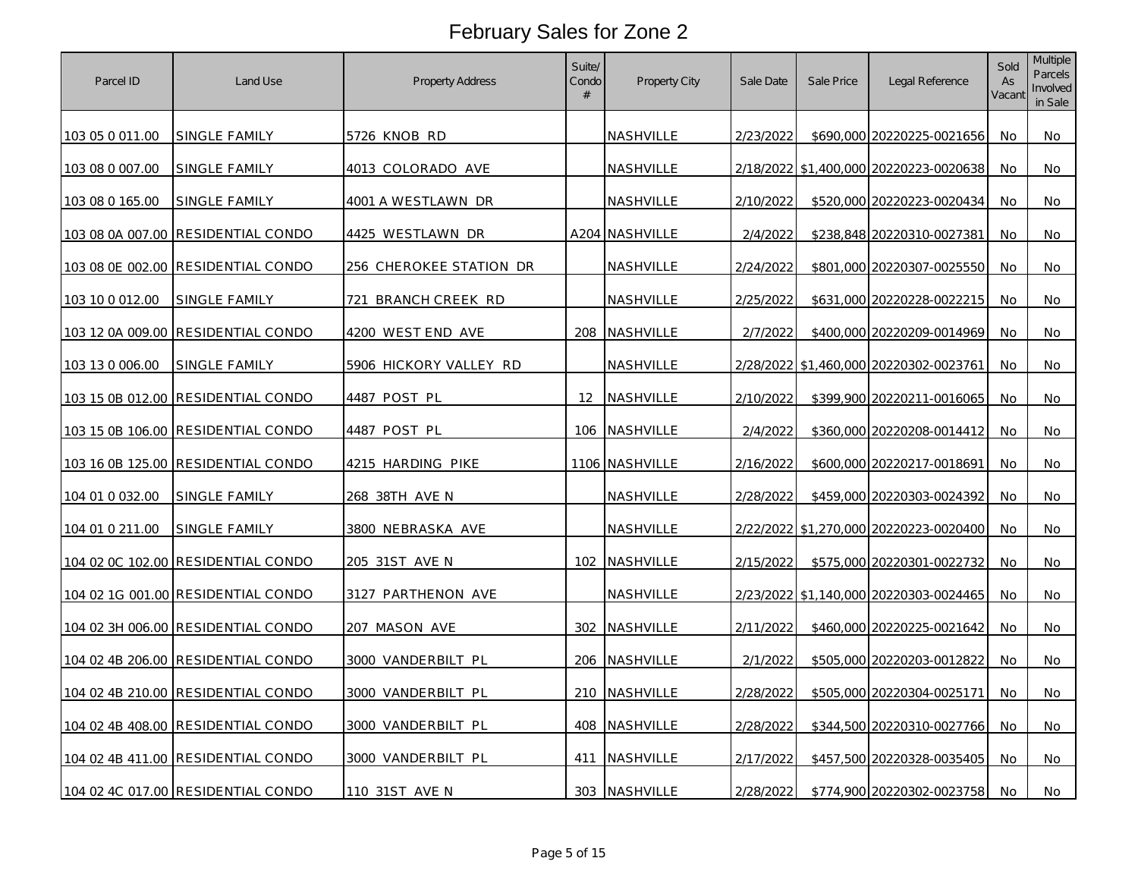| Parcel ID       | Land Use                           | Property Address        | Suite/<br>Condo<br># | Property City    | Sale Date | Sale Price | Legal Reference                        | Sold<br>As<br>Vacant | <b>Multiple</b><br>Parcels<br>Involved<br>in Sale |
|-----------------|------------------------------------|-------------------------|----------------------|------------------|-----------|------------|----------------------------------------|----------------------|---------------------------------------------------|
| 103 05 0 011.00 | SINGLE FAMILY                      | 5726 KNOB RD            |                      | NASHVILLE        | 2/23/2022 |            | \$690,000 20220225-0021656             | No                   | No                                                |
| 103 08 0 007.00 | SINGLE FAMILY                      | 4013 COLORADO AVE       |                      | NASHVILLE        |           |            | 2/18/2022 \$1,400,000 20220223-0020638 | No                   | No                                                |
| 103 08 0 165.00 | SINGLE FAMILY                      | 4001 A WESTLAWN DR      |                      | NASHVILLE        | 2/10/2022 |            | \$520,000 20220223-0020434             | No                   | No                                                |
|                 | 103 08 0A 007.00 RESIDENTIAL CONDO | 4425 WESTLAWN DR        |                      | A204 NASHVILLE   | 2/4/2022  |            | \$238,848 20220310-0027381             | No                   | No                                                |
|                 | 103 08 0E 002.00 RESIDENTIAL CONDO | 256 CHEROKEE STATION DR |                      | <b>NASHVILLE</b> | 2/24/2022 |            | \$801,000 20220307-0025550             | No.                  | No.                                               |
| 103 10 0 012.00 | SINGLE FAMILY                      | 721<br>BRANCH CREEK RD  |                      | NASHVILLE        | 2/25/2022 |            | \$631,000 20220228-0022215             | No                   | No                                                |
|                 | 103 12 0A 009.00 RESIDENTIAL CONDO | 4200 WEST END AVE       |                      | 208 NASHVILLE    | 2/7/2022  |            | \$400,000 20220209-0014969             | No.                  | No                                                |
| 103 13 0 006.00 | SINGLE FAMILY                      | 5906 HICKORY VALLEY RD  |                      | NASHVILLE        |           |            | 2/28/2022 \$1,460,000 20220302-0023761 | No                   | No                                                |
|                 | 103 15 0B 012.00 RESIDENTIAL CONDO | 4487 POST PL            |                      | 12 NASHVILLE     | 2/10/2022 |            | \$399,900 20220211-0016065             | No                   | No                                                |
|                 | 103 15 0B 106.00 RESIDENTIAL CONDO | 4487 POST PL            |                      | 106 NASHVILLE    | 2/4/2022  |            | \$360,000 20220208-0014412             | No                   | No                                                |
|                 | 103 16 0B 125.00 RESIDENTIAL CONDO | 4215 HARDING PIKE       |                      | 1106 NASHVILLE   | 2/16/2022 |            | \$600,000 20220217-0018691             | No                   | No                                                |
| 104 01 0 032.00 | <u>SINGLE FAMILY</u>               | <u>268 38TH AVE N</u>   |                      | NASHVILLE        | 2/28/2022 |            | \$459,000 20220303-0024392             | No                   | No                                                |
| 104 01 0 211.00 | SINGLE FAMILY                      | 3800 NEBRASKA AVE       |                      | NASHVILLE        |           |            | 2/22/2022 \$1,270,000 20220223-0020400 | No                   | No                                                |
|                 | 104 02 0C 102.00 RESIDENTIAL CONDO | 205 31ST AVE N          | 102                  | NASHVILLE        | 2/15/2022 |            | \$575,000 20220301-0022732             | No                   | No                                                |
|                 | 104 02 1G 001.00 RESIDENTIAL CONDO | 3127 PARTHENON AVE      |                      | NASHVILLE        |           |            | 2/23/2022 \$1,140,000 20220303-0024465 | No                   | No                                                |
|                 | 104 02 3H 006.00 RESIDENTIAL CONDO | 207 MASON AVE           |                      | 302 NASHVILLE    | 2/11/2022 |            | \$460,000 20220225-0021642             | No                   | No                                                |
|                 | 104 02 4B 206.00 RESIDENTIAL CONDO | 3000 VANDERBILT PL      |                      | 206 NASHVILLE    | 2/1/2022  |            | \$505,000 20220203-0012822             | No                   | No                                                |
|                 | 104 02 4B 210.00 RESIDENTIAL CONDO | 3000 VANDERBILT PL      |                      | 210 NASHVILLE    | 2/28/2022 |            | \$505,000 20220304-0025171             | No                   | No                                                |
|                 | 104 02 4B 408.00 RESIDENTIAL CONDO | 3000 VANDERBILT PL      |                      | 408 NASHVILLE    | 2/28/2022 |            | \$344,500 20220310-0027766             | No                   | No                                                |
|                 | 104 02 4B 411.00 RESIDENTIAL CONDO | 3000 VANDERBILT PL      |                      | 411 NASHVILLE    | 2/17/2022 |            | \$457,500 20220328-0035405             | No                   | No                                                |
|                 | 104 02 4C 017.00 RESIDENTIAL CONDO | 110 31ST AVE N          |                      | 303 NASHVILLE    | 2/28/2022 |            | \$774,900 20220302-0023758             | No                   | No                                                |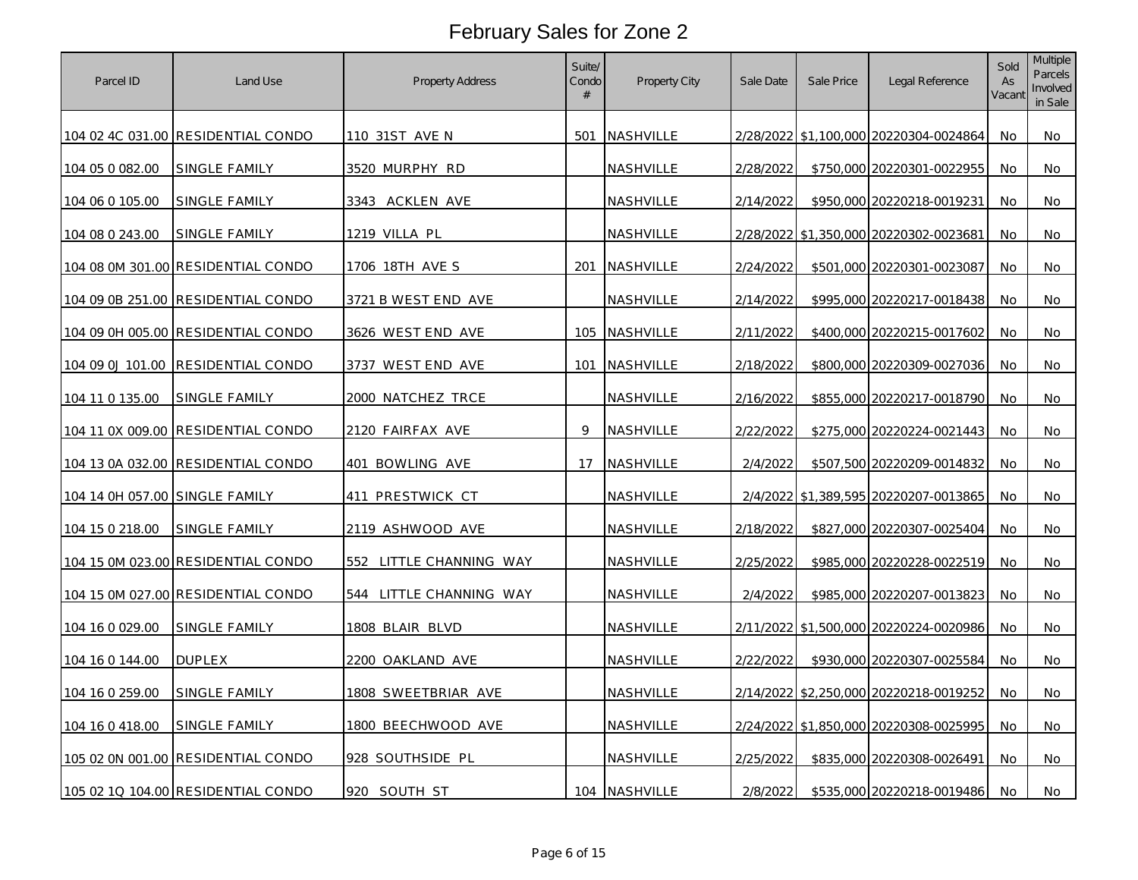| Parcel ID                      | Land Use                                  | Property Address           | Suite/<br>Condo<br># | Property City | Sale Date | Sale Price | Legal Reference                        | Sold<br>As<br>Vacant | Multiple<br>Parcels<br>Involved<br>in Sale |
|--------------------------------|-------------------------------------------|----------------------------|----------------------|---------------|-----------|------------|----------------------------------------|----------------------|--------------------------------------------|
|                                | 104 02 4C 031.00 RESIDENTIAL CONDO        | 110 31ST AVE N             |                      | 501 NASHVILLE |           |            | 2/28/2022 \$1,100,000 20220304-0024864 | No                   | No                                         |
| 104 05 0 082.00                | SINGLE FAMILY                             | 3520 MURPHY RD             |                      | NASHVILLE     | 2/28/2022 |            | \$750,000 20220301-0022955             | No                   | No                                         |
| 104 06 0 105.00                | SINGLE FAMILY                             | 3343 ACKLEN AVE            |                      | NASHVILLE     | 2/14/2022 |            | \$950,000 20220218-0019231             | No                   | No                                         |
| 104 08 0 243.00                | SINGLE FAMILY                             | 1219 VILLA PL              |                      | NASHVILLE     | 2/28/2022 |            | \$1,350,000 20220302-0023681           | No                   | No                                         |
|                                | 104 08 0M 301.00 RESIDENTIAL CONDO        | 1706 18TH AVE S            |                      | 201 NASHVILLE | 2/24/2022 |            | \$501,000 20220301-0023087             | No                   | No                                         |
|                                | 104 09 0B 251.00 RESIDENTIAL CONDO        | 3721 B WEST END AVE        |                      | NASHVILLE     | 2/14/2022 |            | \$995,000 20220217-0018438             | No                   | No                                         |
|                                | 104 09 0H 005.00 RESIDENTIAL CONDO        | 3626 WEST END AVE          |                      | 105 NASHVILLE | 2/11/2022 |            | \$400,000 20220215-0017602             | No                   | No                                         |
|                                | 104 09 0J 101.00 RESIDENTIAL CONDO        | 3737 WEST END AVE          |                      | 101 NASHVILLE | 2/18/2022 |            | \$800,000 20220309-0027036             | No                   | No                                         |
| 104 11 0 135.00                | SINGLE FAMILY                             | 2000 NATCHEZ TRCE          |                      | NASHVILLE     | 2/16/2022 |            | \$855,000 20220217-0018790             | No                   | No                                         |
|                                | 104 11 0X 009.00 RESIDENTIAL CONDO        | 2120 FAIRFAX AVE           | $\circ$              | NASHVILLE     | 2/22/2022 |            | \$275,000 20220224-0021443             | No                   | No                                         |
|                                | <u>104 13 0A 032.00 RESIDENTIAL CONDO</u> | 401 BOWLING AVE            | 17                   | NASHVILLE     | 2/4/2022  |            | \$507,500 20220209-0014832             | No                   | No                                         |
| 104 14 0H 057.00 SINGLE FAMILY |                                           | 411 PRESTWICK CT           |                      | NASHVILLE     | 2/4/2022  |            | \$1,389,595 20220207-0013865           | No                   | No                                         |
| 104 15 0 218.00                | SINGLE FAMILY                             | 2119 ASHWOOD AVE           |                      | NASHVILLE     | 2/18/2022 |            | \$827,000 20220307-0025404             | No                   | No                                         |
|                                | 104 15 0M 023.00 RESIDENTIAL CONDO        | 552<br>LITTLE CHANNING WAY |                      | NASHVILLE     | 2/25/2022 |            | \$985,000 20220228-0022519             | No                   | No                                         |
|                                | 104 15 0M 027.00 RESIDENTIAL CONDO        | 544 LITTLE CHANNING WAY    |                      | NASHVILLE     | 2/4/2022  |            | \$985,000 20220207-0013823             | No                   | No                                         |
| 104 16 0 029.00                | SINGLE FAMILY                             | 1808 BLAIR BLVD            |                      | NASHVILLE     |           |            | 2/11/2022 \$1,500,000 20220224-0020986 | No                   | No                                         |
| 104 16 0 144.00                | <b>DUPLEX</b>                             | 2200 OAKLAND AVE           |                      | NASHVILLE     | 2/22/2022 |            | \$930,000 20220307-0025584             | No                   | No                                         |
| 104 16 0 259.00                | SINGLE FAMILY                             | 1808 SWEETBRIAR AVE        |                      | NASHVILLE     |           |            | 2/14/2022 \$2,250,000 20220218-0019252 | No                   | No                                         |
| 104 16 0 418.00                | SINGLE FAMILY                             | 1800 BEECHWOOD AVE         |                      | NASHVILLE     |           |            | 2/24/2022 \$1,850,000 20220308-0025995 | No                   | No                                         |
|                                | 105 02 0N 001.00 RESIDENTIAL CONDO        | 928 SOUTHSIDE PL           |                      | NASHVILLE     | 2/25/2022 |            | \$835,000 20220308-0026491             | No                   | No                                         |
|                                | 105 02 1Q 104.00 RESIDENTIAL CONDO        | 920 SOUTH ST               |                      | 104 NASHVILLE | 2/8/2022  |            | \$535,000 20220218-0019486             | No                   | No                                         |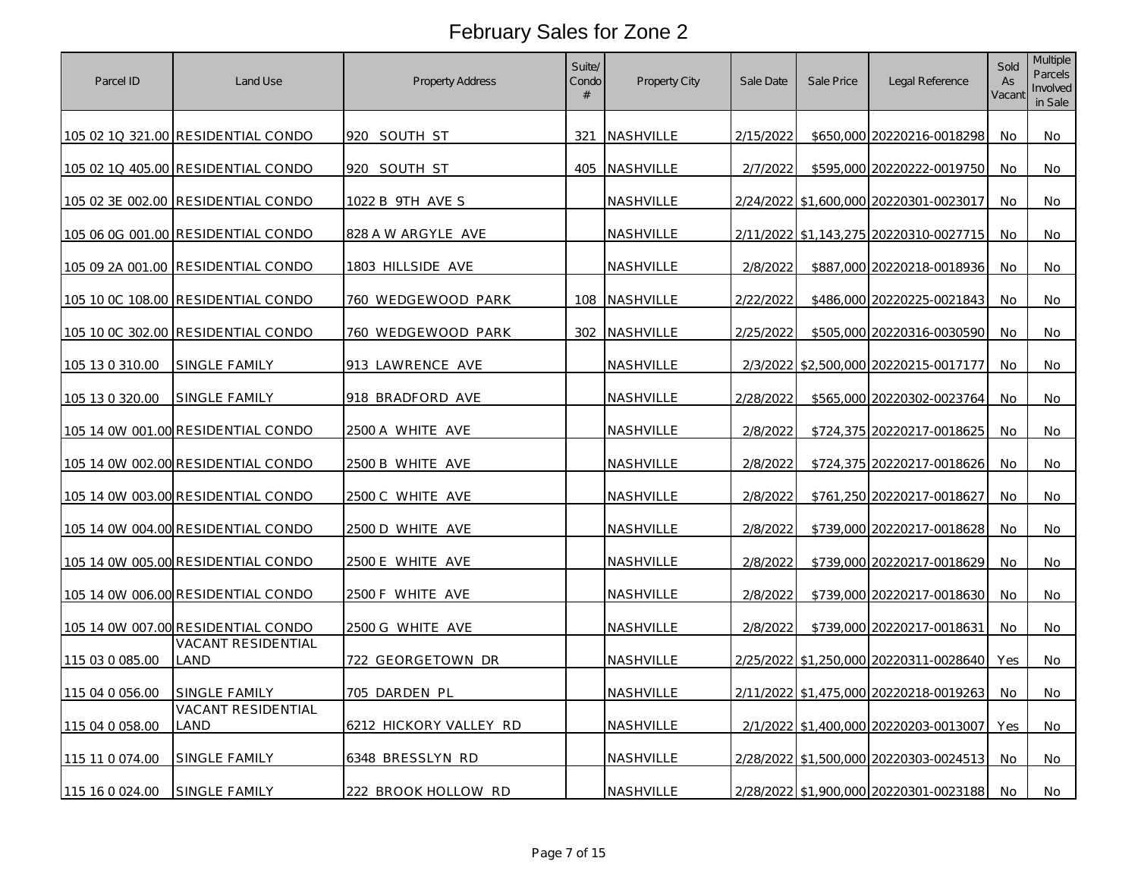| Parcel ID       | Land Use                                  | Property Address       | Suite/<br>Condo<br># | Property City    | Sale Date | Sale Price | Legal Reference                        | Sold<br>As<br>Vacant | <b>Multiple</b><br>Parcels<br>Involved<br>in Sale |
|-----------------|-------------------------------------------|------------------------|----------------------|------------------|-----------|------------|----------------------------------------|----------------------|---------------------------------------------------|
|                 | 105 02 1Q 321.00 RESIDENTIAL CONDO        | 920 SOUTH ST           |                      | 321 NASHVILLE    | 2/15/2022 |            | \$650,000 20220216-0018298             | No                   | No                                                |
|                 | 105 02 1Q 405.00 RESIDENTIAL CONDO        | 920 SOUTH ST           |                      | 405 NASHVILLE    | 2/7/2022  |            | \$595,000 20220222-0019750             | No                   | No                                                |
|                 | 105 02 3E 002.00 RESIDENTIAL CONDO        | 1022 B 9TH AVE S       |                      | NASHVILLE        |           |            | 2/24/2022 \$1,600,000 20220301-0023017 | No                   | No                                                |
|                 | 105 06 0G 001.00 RESIDENTIAL CONDO        | 828 A W ARGYLE AVE     |                      | NASHVILLE        |           |            | 2/11/2022 \$1,143,275 20220310-0027715 | <b>No</b>            | No                                                |
|                 | 105 09 2A 001.00 RESIDENTIAL CONDO        | 1803 HILLSIDE AVE      |                      | NASHVILLE        | 2/8/2022  |            | \$887,000 20220218-0018936             | No.                  | No.                                               |
|                 | 105 10 0C 108.00 RESIDENTIAL CONDO        | 760 WEDGEWOOD PARK     |                      | 108 NASHVILLE    | 2/22/2022 |            | \$486,000 20220225-0021843             | No                   | No                                                |
|                 | <u>105 10 0C 302.00 RESIDENTIAL CONDO</u> | 760 WEDGEWOOD PARK     |                      | 302 NASHVILLE    | 2/25/2022 |            | \$505,000 20220316-0030590             | No                   | No                                                |
| 105 13 0 310.00 | SINGLE FAMILY                             | 913 LAWRENCE AVE       |                      | NASHVILLE        |           |            | 2/3/2022 \$2,500,000 20220215-0017177  | No                   | No                                                |
| 105 13 0 320.00 | SINGLE FAMILY                             | 918 BRADFORD AVE       |                      | NASHVILLE        | 2/28/2022 |            | \$565,000 20220302-0023764             | No                   | No                                                |
|                 | 105 14 0W 001.00 RESIDENTIAL CONDO        | 2500 A WHITE AVE       |                      | NASHVILLE        | 2/8/2022  |            | \$724,375 20220217-0018625             | No                   | No                                                |
|                 | 105 14 0W 002.00 RESIDENTIAL CONDO        | 2500 B WHITE AVE       |                      | NASHVILLE        | 2/8/2022  |            | \$724,375 20220217-0018626             | No                   | No                                                |
|                 | <u>105 14 0W 003.00 RESIDENTIAL CONDO</u> | 2500 C WHITE AVE       |                      | NASHVILLE        | 2/8/2022  |            | \$761,250 20220217-0018627             | No                   | No                                                |
|                 | 105 14 0W 004.00 RESIDENTIAL CONDO        | 2500 D WHITE AVE       |                      | NASHVILLE        | 2/8/2022  |            | \$739,000 20220217-0018628             | No                   | No                                                |
|                 | 105 14 0W 005.00 RESIDENTIAL CONDO        | 2500 E WHITE AVE       |                      | NASHVILLE        | 2/8/2022  |            | \$739,000 20220217-0018629             | No                   | No                                                |
|                 | 105 14 0W 006.00 RESIDENTIAL CONDO        | 2500 F WHITE AVE       |                      | NASHVILLE        | 2/8/2022  |            | \$739,000 20220217-0018630             | No                   | No                                                |
|                 | 105 14 0W 007.00 RESIDENTIAL CONDO        | 2500 G WHITE AVE       |                      | NASHVILLE        | 2/8/2022  |            | \$739,000 20220217-0018631             | No                   | No                                                |
| 115 03 0 085.00 | VACANT RESIDENTIAL<br>LAND                | 722 GEORGETOWN DR      |                      | <b>NASHVILLE</b> |           |            | 2/25/2022 \$1,250,000 20220311-0028640 | Yes                  | No                                                |
| 115 04 0 056.00 | SINGLE FAMILY                             | 705 DARDEN PL          |                      | NASHVILLE        |           |            | 2/11/2022 \$1,475,000 20220218-0019263 | No                   | No                                                |
| 115 04 0 058.00 | VACANT RESIDENTIAL<br>LAND                | 6212 HICKORY VALLEY RD |                      | NASHVILLE        |           |            | 2/1/2022 \$1,400,000 20220203-0013007  | Yes                  | No.                                               |
| 115 11 0 074.00 | SINGLE FAMILY                             | 6348 BRESSLYN RD       |                      | NASHVILLE        |           |            | 2/28/2022 \$1,500,000 20220303-0024513 | No                   | No                                                |
| 115 16 0 024.00 | <b>SINGLE FAMILY</b>                      | 222 BROOK HOLLOW RD    |                      | NASHVILLE        |           |            | 2/28/2022 \$1,900,000 20220301-0023188 | No                   | No                                                |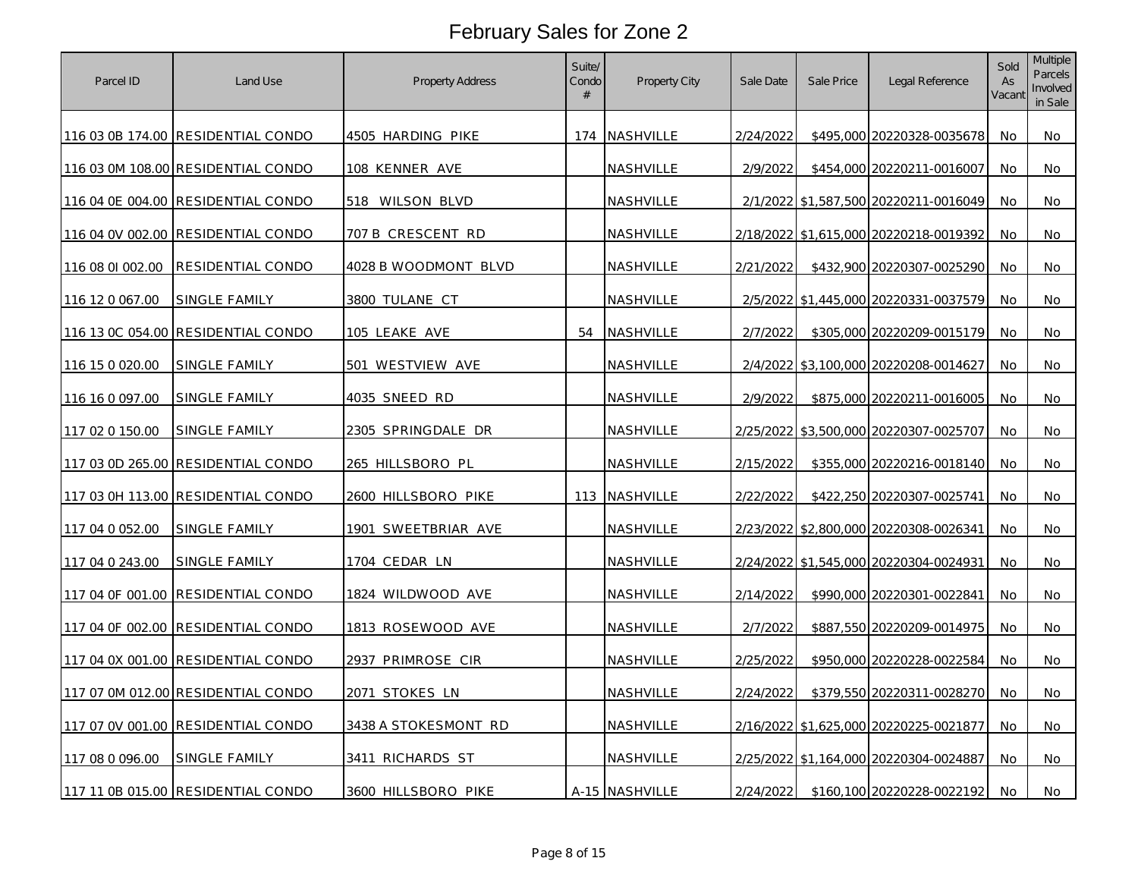| Parcel ID        | Land Use                           | Property Address        | Suite/<br>Condo<br># | Property City    | Sale Date | Sale Price | Legal Reference                        | Sold<br>As<br>Vacant | Multiple<br>Parcels<br>Involved<br>in Sale |
|------------------|------------------------------------|-------------------------|----------------------|------------------|-----------|------------|----------------------------------------|----------------------|--------------------------------------------|
|                  | 116 03 0B 174.00 RESIDENTIAL CONDO | 4505 HARDING PIKE       |                      | 174 NASHVILLE    | 2/24/2022 |            | \$495,000 20220328-0035678             | No                   | No                                         |
|                  | 116 03 0M 108.00 RESIDENTIAL CONDO | 108 KENNER AVE          |                      | NASHVILLE        | 2/9/2022  |            | \$454,000 20220211-0016007             | No                   | No                                         |
|                  | 116 04 0E 004.00 RESIDENTIAL CONDO | 518 WILSON BLVD         |                      | NASHVILLE        |           |            | 2/1/2022 \$1,587,500 20220211-0016049  | No                   | No                                         |
|                  | 116 04 0V 002.00 RESIDENTIAL CONDO | 707 B CRESCENT RD       |                      | NASHVILLE        | 2/18/2022 |            | \$1,615,000 20220218-0019392           | No                   | No                                         |
| 116 08 01 002.00 | RESIDENTIAL CONDO                  | 4028 B WOODMONT BLVD    |                      | NASHVILLE        | 2/21/2022 |            | \$432,900 20220307-0025290             | No                   | No                                         |
| 116 12 0 067.00  | SINGLE FAMILY                      | 3800 TULANE CT          |                      | NASHVILLE        | 2/5/2022  |            | \$1,445,000 20220331-0037579           | No                   | No                                         |
|                  | 116 13 0C 054.00 RESIDENTIAL CONDO | 105 LEAKE AVE           |                      | 54 NASHVILLE     | 2/7/2022  |            | \$305,000 20220209-0015179             | No                   | No                                         |
| 116 15 0 020.00  | SINGLE FAMILY                      | 501 WESTVIEW AVE        |                      | NASHVILLE        |           |            | 2/4/2022 \$3,100,000 20220208-0014627  | No                   | No                                         |
| 116 16 0 097.00  | SINGLE FAMILY                      | 4035 SNEED RD           |                      | NASHVILLE        | 2/9/2022  |            | \$875,000 20220211-0016005             | No                   | No                                         |
| 117 02 0 150.00  | SINGLE FAMILY                      | 2305 SPRINGDALE DR      |                      | NASHVILLE        |           |            | 2/25/2022 \$3,500,000 20220307-0025707 | No                   | No                                         |
|                  | 117 03 0D 265.00 RESIDENTIAL CONDO | <u>265 HILLSBORO PL</u> |                      | <u>NASHVILLE</u> | 2/15/2022 |            | \$355,000 20220216-0018140             | No                   | No                                         |
|                  | 117 03 0H 113.00 RESIDENTIAL CONDO | 2600 HILLSBORO PIKE     |                      | 113 NASHVILLE    | 2/22/2022 |            | \$422,250 20220307-0025741             | No                   | No                                         |
| 117 04 0 052.00  | SINGLE FAMILY                      | 1901 SWEETBRIAR AVE     |                      | NASHVILLE        |           |            | 2/23/2022 \$2,800,000 20220308-0026341 | No                   | No                                         |
| 117 04 0 243.00  | SINGLE FAMILY                      | 1704 CEDAR LN           |                      | NASHVILLE        | 2/24/2022 |            | \$1,545,000 20220304-0024931           | No                   | No                                         |
|                  | 117 04 OF 001.00 RESIDENTIAL CONDO | 1824 WILDWOOD AVE       |                      | NASHVILLE        | 2/14/2022 |            | \$990,000 20220301-0022841             | No                   | No                                         |
|                  | 117 04 0F 002.00 RESIDENTIAL CONDO | 1813 ROSEWOOD AVE       |                      | NASHVILLE        | 2/7/2022  |            | \$887,550 20220209-0014975             | No                   | No                                         |
|                  | 117 04 0X 001.00 RESIDENTIAL CONDO | 2937 PRIMROSE CIR       |                      | NASHVILLE        | 2/25/2022 |            | \$950,000 20220228-0022584             | No                   | No                                         |
|                  | 117 07 0M 012.00 RESIDENTIAL CONDO | 2071 STOKES LN          |                      | NASHVILLE        | 2/24/2022 |            | \$379,550 20220311-0028270             | No                   | No                                         |
|                  | 117 07 0V 001.00 RESIDENTIAL CONDO | 3438 A STOKESMONT RD    |                      | NASHVILLE        |           |            | 2/16/2022 \$1,625,000 20220225-0021877 | No                   | No                                         |
| 117 08 0 096.00  | SINGLE FAMILY                      | 3411 RICHARDS ST        |                      | NASHVILLE        |           |            | 2/25/2022 \$1,164,000 20220304-0024887 | No                   | No                                         |
|                  | 117 11 0B 015.00 RESIDENTIAL CONDO | 3600 HILLSBORO PIKE     |                      | A-15 NASHVILLE   | 2/24/2022 |            | \$160,100 20220228-0022192             | No                   | No                                         |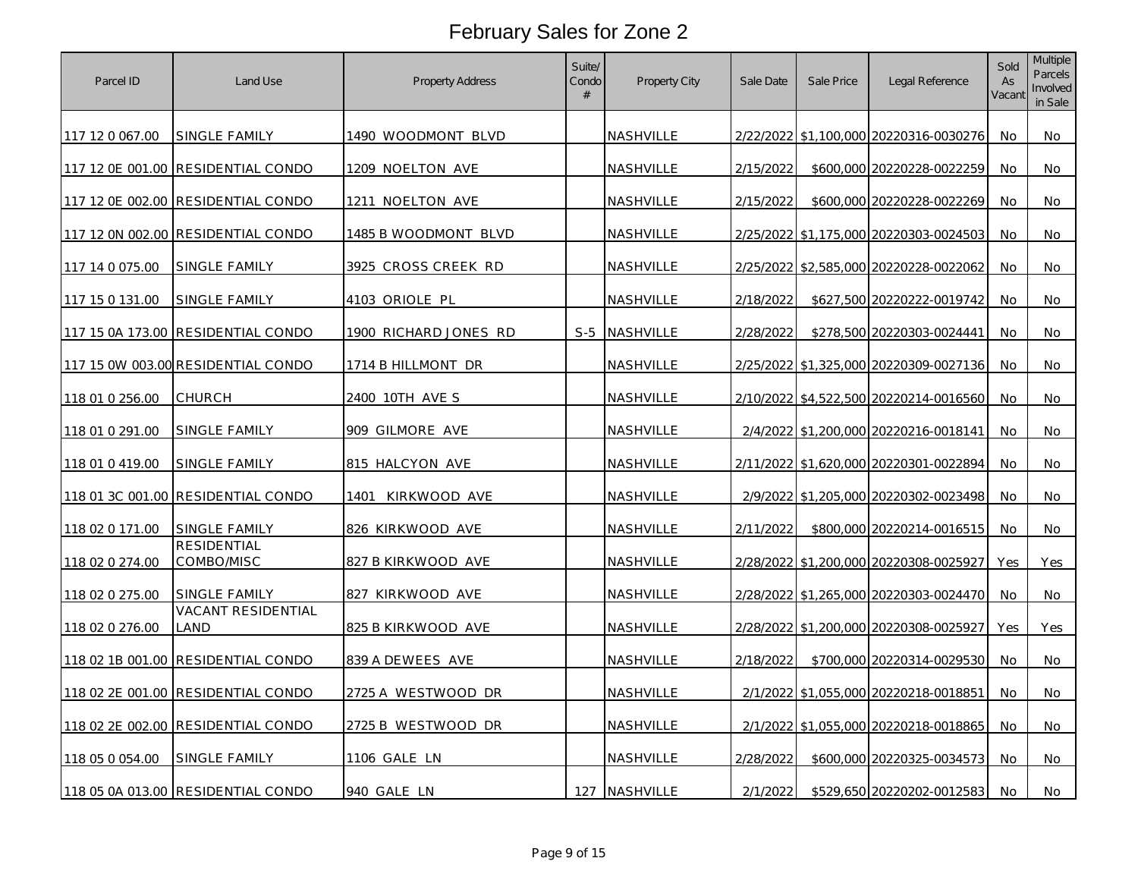| Parcel ID       | Land Use                           | <b>Property Address</b> | Suite/<br>Condo<br># | Property City    | Sale Date | Sale Price | Legal Reference                        | Sold<br>As<br>Vacant | <b>Multiple</b><br>Parcels<br>Involved<br>in Sale |
|-----------------|------------------------------------|-------------------------|----------------------|------------------|-----------|------------|----------------------------------------|----------------------|---------------------------------------------------|
| 117 12 0 067.00 | SINGLE FAMILY                      | 1490 WOODMONT BLVD      |                      | NASHVILLE        |           |            | 2/22/2022 \$1,100,000 20220316-0030276 | No                   | No                                                |
|                 | 117 12 0E 001.00 RESIDENTIAL CONDO | 1209 NOELTON AVE        |                      | NASHVILLE        | 2/15/2022 |            | \$600,000 20220228-0022259             | No                   | No                                                |
|                 | 117 12 0E 002.00 RESIDENTIAL CONDO | 1211 NOELTON AVE        |                      | NASHVILLE        | 2/15/2022 |            | \$600,000 20220228-0022269             | No                   | No                                                |
|                 | 117 12 0N 002.00 RESIDENTIAL CONDO | 1485 B WOODMONT BLVD    |                      | NASHVILLE        |           |            | 2/25/2022 \$1,175,000 20220303-0024503 | No                   | No                                                |
| 117 14 0 075.00 | SINGLE FAMILY                      | 3925 CROSS CREEK RD     |                      | <b>NASHVILLE</b> |           |            | 2/25/2022 \$2,585,000 20220228-0022062 | No.                  | No.                                               |
| 117 15 0 131.00 | SINGLE FAMILY                      | 4103 ORIOLE PL          |                      | NASHVILLE        | 2/18/2022 |            | \$627,500 20220222-0019742             | No                   | No                                                |
|                 | 117 15 0A 173.00 RESIDENTIAL CONDO | 1900 RICHARD JONES RD   |                      | S-5 NASHVILLE    | 2/28/2022 |            | \$278,500 20220303-0024441             | No.                  | No                                                |
|                 | 117 15 0W 003.00 RESIDENTIAL CONDO | 1714 B HILLMONT DR      |                      | NASHVILLE        |           |            | 2/25/2022 \$1,325,000 20220309-0027136 | No                   | No                                                |
| 118 01 0 256.00 | CHURCH                             | 2400 10TH AVE S         |                      | NASHVILLE        |           |            | 2/10/2022 \$4,522,500 20220214-0016560 | No                   | No                                                |
| 118 01 0 291.00 | SINGLE FAMILY                      | 909 GILMORE AVE         |                      | NASHVILLE        |           |            | 2/4/2022 \$1,200,000 20220216-0018141  | No                   | No                                                |
| 118 01 0 419.00 | SINGLE FAMILY                      | <u>815 HALCYON AVE</u>  |                      | NASHVILLE        |           |            | 2/11/2022 \$1,620,000 20220301-0022894 | No                   | No                                                |
|                 | 118 01 3C 001.00 RESIDENTIAL CONDO | KIRKWOOD AVE<br>1401    |                      | NASHVILLE        |           |            | 2/9/2022 \$1,205,000 20220302-0023498  | No                   | No                                                |
| 118 02 0 171.00 | SINGLE FAMILY                      | 826 KIRKWOOD AVE        |                      | NASHVILLE        | 2/11/2022 |            | \$800,000 20220214-0016515             | No                   | No                                                |
| 118 02 0 274.00 | RESIDENTIAL<br>COMBO/MISC          | 827 B KIRKWOOD AVE      |                      | NASHVILLE        |           |            | 2/28/2022 \$1,200,000 20220308-0025927 | Yes                  | Yes                                               |
| 118 02 0 275.00 | SINGLE FAMILY                      | 827 KIRKWOOD AVE        |                      | NASHVILLE        |           |            | 2/28/2022 \$1,265,000 20220303-0024470 | No                   | No.                                               |
| 118 02 0 276.00 | VACANT RESIDENTIAL<br>LAND         | 825 B KIRKWOOD AVE      |                      | NASHVILLE        |           |            | 2/28/2022 \$1,200,000 20220308-0025927 | Yes                  | Yes                                               |
|                 | 118 02 1B 001.00 RESIDENTIAL CONDO | 839 A DEWEES AVE        |                      | NASHVILLE        | 2/18/2022 |            | \$700,000 20220314-0029530             | No                   | No                                                |
|                 | 118 02 2E 001.00 RESIDENTIAL CONDO | 2725 A WESTWOOD DR      |                      | NASHVILLE        |           |            | 2/1/2022 \$1,055,000 20220218-0018851  | No                   | No                                                |
|                 | 118 02 2E 002.00 RESIDENTIAL CONDO | 2725 B WESTWOOD DR      |                      | NASHVILLE        |           |            | 2/1/2022 \$1,055,000 20220218-0018865  | No                   | No                                                |
| 118 05 0 054.00 | SINGLE FAMILY                      | 1106 GALE LN            |                      | NASHVILLE        | 2/28/2022 |            | \$600,000 20220325-0034573             | No                   | No                                                |
|                 | 118 05 0A 013.00 RESIDENTIAL CONDO | 940 GALE LN             |                      | 127 NASHVILLE    | 2/1/2022  |            | \$529,650 20220202-0012583             | No                   | No                                                |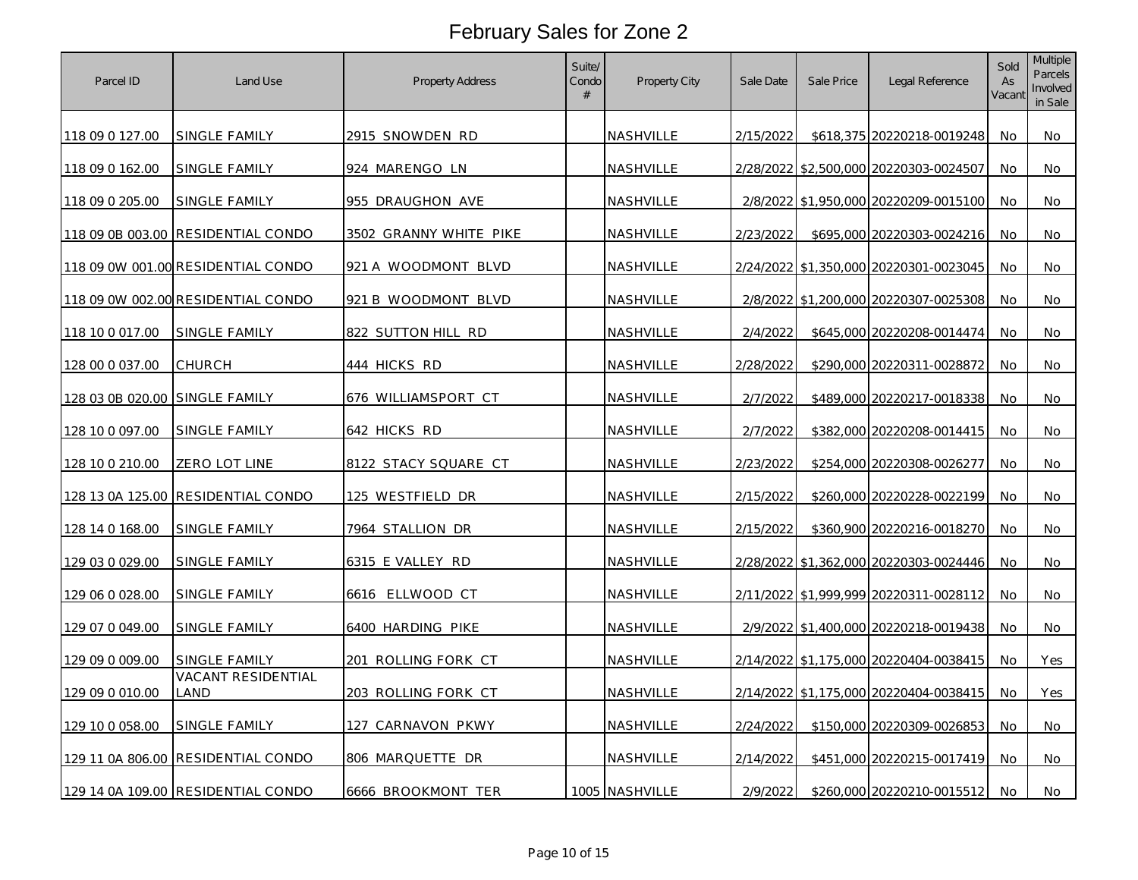| Parcel ID                       | Land Use                           | Property Address           | Suite/<br>Condo<br># | Property City    | Sale Date | Sale Price | Legal Reference                        | Sold<br>As<br>Vacant | <b>Multiple</b><br>Parcels<br>Involved<br>in Sale |
|---------------------------------|------------------------------------|----------------------------|----------------------|------------------|-----------|------------|----------------------------------------|----------------------|---------------------------------------------------|
| 118 09 0 127.00                 | SINGLE FAMILY                      | 2915 SNOWDEN RD            |                      | NASHVILLE        | 2/15/2022 |            | \$618,375 20220218-0019248             | No                   | No                                                |
| 118 09 0 162.00                 | SINGLE FAMILY                      | 924 MARENGO LN             |                      | NASHVILLE        |           |            | 2/28/2022 \$2,500,000 20220303-0024507 | No                   | No                                                |
| 118 09 0 205.00                 | SINGLE FAMILY                      | 955 DRAUGHON AVE           |                      | NASHVILLE        |           |            | 2/8/2022 \$1,950,000 20220209-0015100  | No                   | No                                                |
|                                 | 118 09 0B 003.00 RESIDENTIAL CONDO | 3502 GRANNY WHITE PIKE     |                      | NASHVILLE        | 2/23/2022 |            | \$695,000 20220303-0024216             | No                   | No                                                |
|                                 | 118 09 0W 001.00 RESIDENTIAL CONDO | 921 A WOODMONT BLVD        |                      | NASHVILLE        |           |            | 2/24/2022 \$1,350,000 20220301-0023045 | No                   | No                                                |
|                                 | 118 09 0W 002.00 RESIDENTIAL CONDO | 921 B WOODMONT BLVD        |                      | NASHVILLE        |           |            | 2/8/2022 \$1,200,000 20220307-0025308  | No                   | No                                                |
| 118 10 0 017.00                 | SINGLE FAMILY                      | 822 SUTTON HILL RD         |                      | NASHVILLE        | 2/4/2022  |            | \$645,000 20220208-0014474             | No                   | No                                                |
| 128 00 0 037.00                 | CHURCH                             | 444 HICKS RD               |                      | NASHVILLE        | 2/28/2022 |            | \$290,000 20220311-0028872             | No                   | No                                                |
| 128 03 0B 020.00 ISINGLE FAMILY |                                    | 676 WILLIAMSPORT CT        |                      | NASHVILLE        | 2/7/2022  |            | \$489,000 20220217-0018338             | No                   | No                                                |
| 128 10 0 097.00                 | SINGLE FAMILY                      | 642 HICKS RD               |                      | NASHVILLE        | 2/7/2022  |            | \$382,000 20220208-0014415             | No                   | No                                                |
| 128 10 0 210.00                 | ZERO LOT LINE                      | 8122 STACY SQUARE CT       |                      | <u>NASHVILLE</u> | 2/23/2022 |            | \$254,000 20220308-0026277             | No                   | No                                                |
|                                 | 128 13 0A 125.00 RESIDENTIAL CONDO | 125 WESTFIELD DR           |                      | NASHVILLE        | 2/15/2022 |            | \$260,000 20220228-0022199             | No                   | No                                                |
| 128 14 0 168.00                 | SINGLE FAMILY                      | 7964 STALLION DR           |                      | NASHVILLE        | 2/15/2022 |            | \$360,900 20220216-0018270             | No                   | No                                                |
| 129 03 0 029.00                 | SINGLE FAMILY                      | 6315 E VALLEY RD           |                      | NASHVILLE        |           |            | 2/28/2022 \$1,362,000 20220303-0024446 | No                   | No                                                |
| 129 06 0 028.00                 | SINGLE FAMILY                      | 6616 ELLWOOD CT            |                      | NASHVILLE        |           |            | 2/11/2022 \$1,999,999 20220311-0028112 | No                   | No                                                |
| 129 07 0 049.00                 | SINGLE FAMILY                      | 6400 HARDING PIKE          |                      | NASHVILLE        |           |            | 2/9/2022 \$1,400,000 20220218-0019438  | No                   | No                                                |
| 129 09 0 009.00                 | SINGLE FAMILY                      | 201 ROLLING FORK CT        |                      | NASHVILLE        |           |            | 2/14/2022 \$1,175,000 20220404-0038415 | No                   | Yes                                               |
| 129 09 0 010.00                 | <b>VACANT RESIDENTIAL</b><br>LAND  | <u>203 ROLLING FORK CT</u> |                      | NASHVILLE        |           |            | 2/14/2022 \$1,175,000 20220404-0038415 | No                   | Yes                                               |
| 129 10 0 058.00                 | SINGLE FAMILY                      | <u>127 CARNAVON PKWY</u>   |                      | NASHVILLE        | 2/24/2022 |            | \$150,000 20220309-0026853             | No                   | No                                                |
|                                 | 129 11 0A 806.00 RESIDENTIAL CONDO | 806 MARQUETTE DR           |                      | NASHVILLE        | 2/14/2022 |            | \$451,000 20220215-0017419             | No                   | No                                                |
|                                 | 129 14 0A 109.00 RESIDENTIAL CONDO | 6666 BROOKMONT TER         |                      | 1005 NASHVILLE   | 2/9/2022  |            | \$260,000 20220210-0015512             | No                   | No                                                |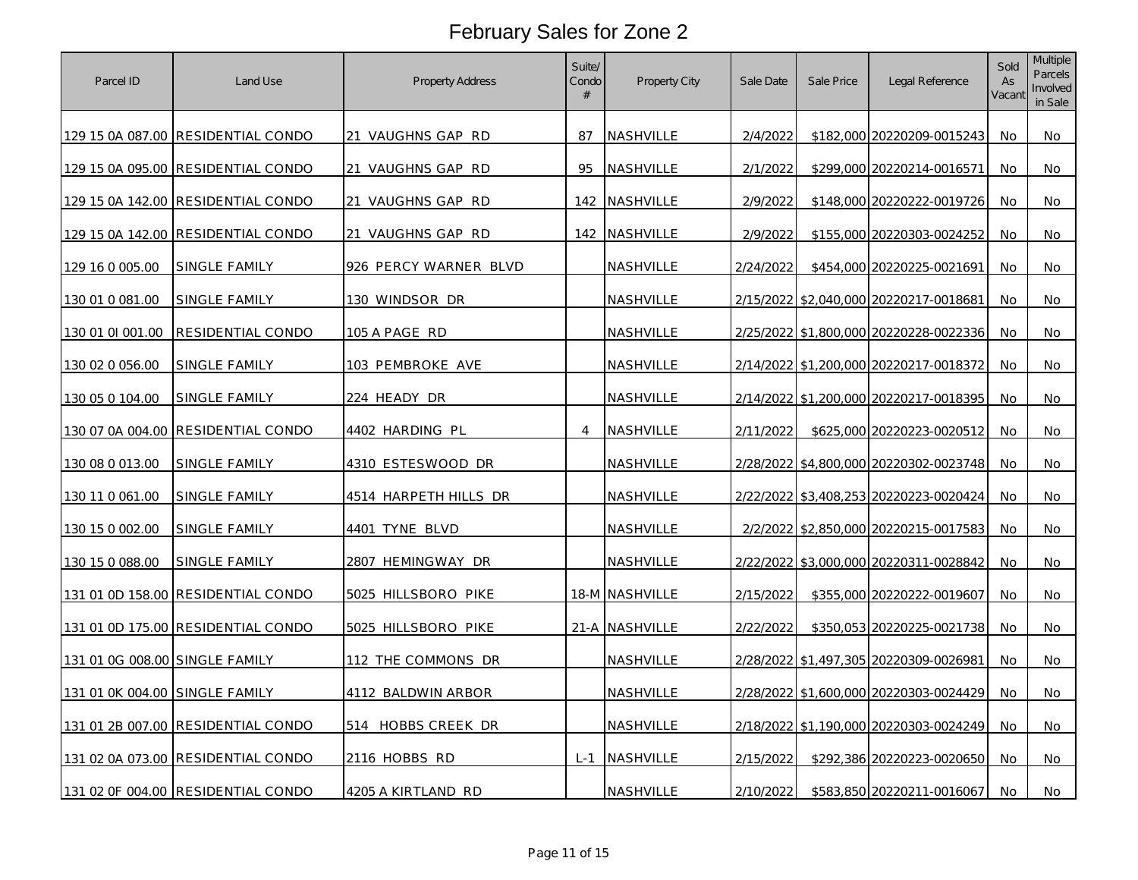| Parcel ID                      | Land Use                           | Property Address         | Suite/<br>Condo<br># | Property City    | Sale Date | Sale Price | Legal Reference                        | Sold<br>As<br>Vacant | Multiple<br>Parcels<br>Involved<br>in Sale |
|--------------------------------|------------------------------------|--------------------------|----------------------|------------------|-----------|------------|----------------------------------------|----------------------|--------------------------------------------|
|                                | 129 15 0A 087.00 RESIDENTIAL CONDO | 21 VAUGHNS GAP RD        | 87                   | NASHVILLE        | 2/4/2022  |            | \$182,000 20220209-0015243             | No                   | No                                         |
|                                | 129 15 0A 095.00 RESIDENTIAL CONDO | 21 VAUGHNS GAP RD        | 95                   | NASHVILLE        | 2/1/2022  |            | \$299,000 20220214-0016571             | No                   | No                                         |
|                                | 129 15 0A 142.00 RESIDENTIAL CONDO | VAUGHNS GAP RD<br>21     |                      | 142 NASHVILLE    | 2/9/2022  |            | \$148,000 20220222-0019726             | No                   | No                                         |
|                                | 129 15 0A 142.00 RESIDENTIAL CONDO | 21 VAUGHNS GAP RD        |                      | 142 NASHVILLE    | 2/9/2022  |            | \$155,000 20220303-0024252             | No                   | No                                         |
| 129 16 0 005.00                | SINGLE FAMILY                      | 926 PERCY WARNER BLVD    |                      | NASHVILLE        | 2/24/2022 |            | \$454,000 20220225-0021691             | No                   | No                                         |
| 130 01 0 081.00                | <b>SINGLE FAMILY</b>               | 130 WINDSOR DR           |                      | <b>NASHVILLE</b> |           |            | 2/15/2022 \$2,040,000 20220217-0018681 | No                   | No                                         |
| 130 01 01 001.00               | <b>RESIDENTIAL CONDO</b>           | 105 A PAGE RD            |                      | NASHVILLE        |           |            | 2/25/2022 \$1,800,000 20220228-0022336 | No                   | No                                         |
| 130 02 0 056.00                | SINGLE FAMILY                      | 103 PEMBROKE AVE         |                      | NASHVILLE        |           |            | 2/14/2022 \$1,200,000 20220217-0018372 | No                   | No                                         |
| 130 05 0 104.00                | SINGLE FAMILY                      | 224 HEADY DR             |                      | NASHVILLE        |           |            | 2/14/2022 \$1,200,000 20220217-0018395 | No                   | No                                         |
|                                | 130 07 0A 004.00 RESIDENTIAL CONDO | 4402 HARDING PL          | $\overline{4}$       | NASHVILLE        | 2/11/2022 |            | \$625,000 20220223-0020512             | No                   | No                                         |
| 130 08 0 013.00                | <u>SINGLE FAMILY</u>               | <u>4310 ESTESWOOD DR</u> |                      | <u>NASHVILLE</u> |           |            | 2/28/2022 \$4,800,000 20220302-0023748 | No                   | No                                         |
| 130 11 0 061.00                | SINGLE FAMILY                      | 4514 HARPETH HILLS DR    |                      | NASHVILLE        |           |            | 2/22/2022 \$3,408,253 20220223-0020424 | No                   | No                                         |
| 130 15 0 002.00                | SINGLE FAMILY                      | 4401 TYNE BLVD           |                      | NASHVILLE        |           |            | 2/2/2022 \$2,850,000 20220215-0017583  | No                   | No                                         |
| 130 15 0 088.00                | SINGLE FAMILY                      | 2807 HEMINGWAY DR        |                      | NASHVILLE        |           |            | 2/22/2022 \$3,000,000 20220311-0028842 | No                   | No                                         |
|                                | 131 01 0D 158.00 RESIDENTIAL CONDO | 5025 HILLSBORO PIKE      |                      | 18-M NASHVILLE   | 2/15/2022 |            | \$355,000 20220222-0019607             | No                   | No                                         |
|                                | 131 01 0D 175.00 RESIDENTIAL CONDO | 5025 HILLSBORO PIKE      |                      | 21-A NASHVILLE   | 2/22/2022 |            | \$350,053 20220225-0021738             | No                   | No                                         |
| 131 01 0G 008.00 SINGLE FAMILY |                                    | 112 THE COMMONS DR       |                      | NASHVILLE        |           |            | 2/28/2022 \$1,497,305 20220309-0026981 | No                   | No                                         |
| 131 01 0K 004.00 SINGLE FAMILY |                                    | 4112 BALDWIN ARBOR       |                      | NASHVILLE        |           |            | 2/28/2022 \$1,600,000 20220303-0024429 | No                   | No                                         |
|                                | 131 01 2B 007.00 RESIDENTIAL CONDO | 514 HOBBS CREEK DR       |                      | NASHVILLE        |           |            | 2/18/2022 \$1,190,000 20220303-0024249 | No                   | No                                         |
|                                | 131 02 0A 073.00 RESIDENTIAL CONDO | 2116 HOBBS RD            |                      | L-1 NASHVILLE    | 2/15/2022 |            | \$292,386 20220223-0020650             | No                   | <b>No</b>                                  |
|                                | 131 02 0F 004.00 RESIDENTIAL CONDO | 4205 A KIRTLAND RD       |                      | NASHVILLE        | 2/10/2022 |            | \$583,850 20220211-0016067             | No                   | No                                         |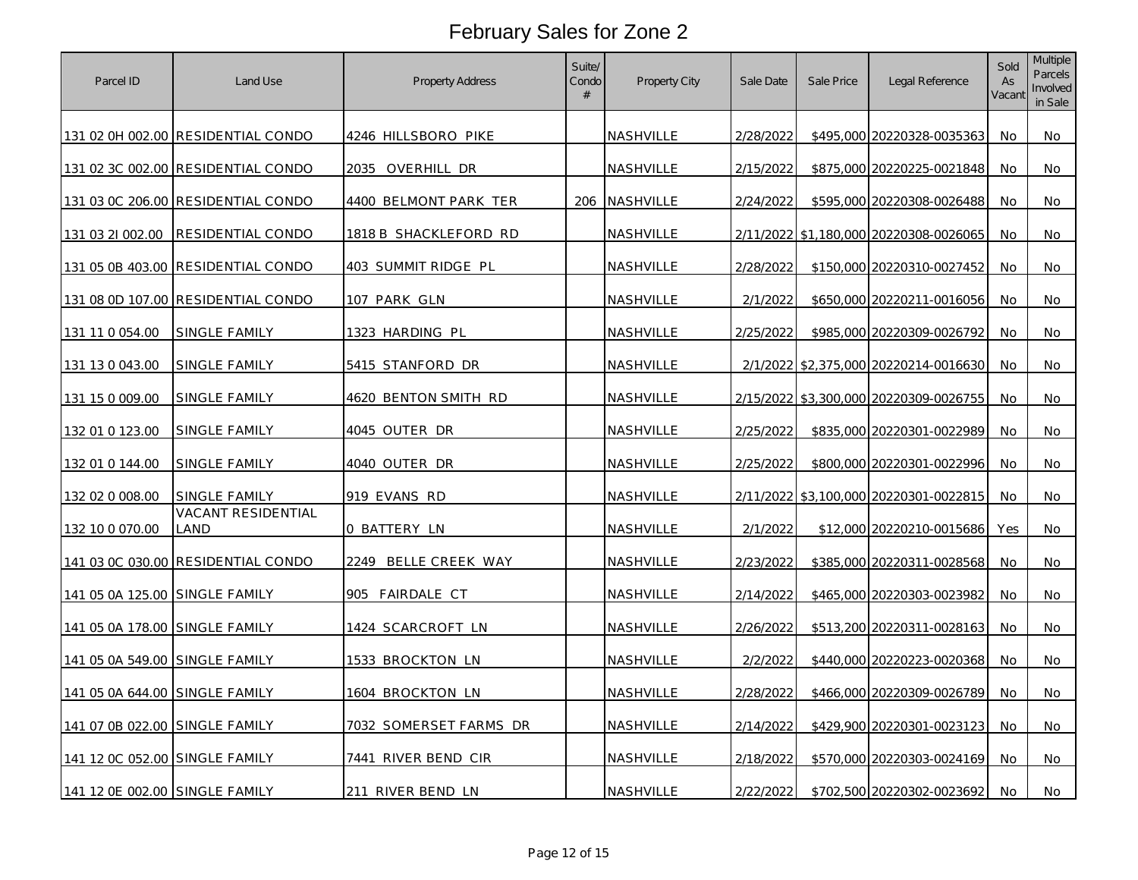| Parcel ID                      | Land Use                           | Property Address       | Suite/<br>Condo<br># | Property City    | Sale Date | Sale Price | Legal Reference                       | Sold<br>As<br>Vacant | Multiple<br>Parcels<br>Involved<br>in Sale |
|--------------------------------|------------------------------------|------------------------|----------------------|------------------|-----------|------------|---------------------------------------|----------------------|--------------------------------------------|
|                                | 131 02 0H 002.00 RESIDENTIAL CONDO | 4246 HILLSBORO PIKE    |                      | <b>NASHVILLE</b> | 2/28/2022 |            | \$495,000 20220328-0035363            | No                   | No                                         |
|                                | 131 02 3C 002.00 RESIDENTIAL CONDO | 2035 OVERHILL DR       |                      | NASHVILLE        | 2/15/2022 |            | \$875,000 20220225-0021848            | No                   | No                                         |
|                                | 131 03 0C 206.00 RESIDENTIAL CONDO | 4400 BELMONT PARK TER  |                      | 206 NASHVILLE    | 2/24/2022 |            | \$595,000 20220308-0026488            | No                   | No                                         |
| 131 03 21 002.00               | RESIDENTIAL CONDO                  | 1818 B SHACKLEFORD RD  |                      | NASHVILLE        | 2/11/2022 |            | \$1,180,000 20220308-0026065          | No                   | No                                         |
|                                | 131 05 0B 403.00 RESIDENTIAL CONDO | 403 SUMMIT RIDGE PL    |                      | <b>NASHVILLE</b> | 2/28/2022 |            | \$150,000 20220310-0027452            | No                   | No                                         |
|                                | 131 08 0D 107.00 RESIDENTIAL CONDO | 107 PARK GLN           |                      | <b>NASHVILLE</b> | 2/1/2022  |            | \$650,000 20220211-0016056            | No                   | No                                         |
| 131 11 0 054.00                | SINGLE FAMILY                      | 1323 HARDING PL        |                      | NASHVILLE        | 2/25/2022 |            | \$985,000 20220309-0026792            | No                   | No                                         |
| 131 13 0 043.00                | SINGLE FAMILY                      | 5415 STANFORD DR       |                      | NASHVILLE        |           |            | 2/1/2022 \$2,375,000 20220214-0016630 | No                   | No                                         |
| 131 15 0 009.00                | SINGLE FAMILY                      | 4620 BENTON SMITH RD   |                      | NASHVILLE        | 2/15/2022 |            | \$3,300,000 20220309-0026755          | No                   | No                                         |
| 132 01 0 123.00                | SINGLE FAMILY                      | 4045 OUTER DR          |                      | <b>NASHVILLE</b> | 2/25/2022 |            | \$835,000 20220301-0022989            | No                   | No                                         |
| 132 01 0 144.00                | SINGLE FAMILY                      | 4040 OUTER DR          |                      | <u>NASHVILLE</u> | 2/25/2022 |            | \$800,000 20220301-0022996            | No                   | No                                         |
| 132 02 0 008.00                | SINGLE FAMILY                      | 919 EVANS RD           |                      | NASHVILLE        | 2/11/2022 |            | \$3,100,000 20220301-0022815          | No                   | No                                         |
| 132 10 0 070.00                | <b>VACANT RESIDENTIAL</b><br>land  | 0 BATTERY LN           |                      | NASHVILLE        | 2/1/2022  |            | \$12,000 20220210-0015686             | Yes                  | No                                         |
|                                | 141 03 0C 030.00 RESIDENTIAL CONDO | 2249 BELLE CREEK WAY   |                      | NASHVILLE        | 2/23/2022 |            | \$385,000 20220311-0028568            | No                   | No                                         |
| 141 05 0A 125.00 SINGLE FAMILY |                                    | 905 FAIRDALE CT        |                      | NASHVILLE        | 2/14/2022 |            | \$465,000 20220303-0023982            | No                   | No                                         |
| 141 05 0A 178.00 SINGLE FAMILY |                                    | 1424 SCARCROFT LN      |                      | NASHVILLE        | 2/26/2022 |            | \$513,200 20220311-0028163            | No                   | No                                         |
| 141 05 0A 549.00 SINGLE FAMILY |                                    | 1533 BROCKTON LN       |                      | NASHVILLE        | 2/2/2022  |            | \$440,000 20220223-0020368            | No                   | No                                         |
| 141 05 0A 644.00 SINGLE FAMILY |                                    | 1604 BROCKTON LN       |                      | NASHVILLE        | 2/28/2022 |            | \$466,000 20220309-0026789            | No                   | No                                         |
| 141 07 0B 022.00 SINGLE FAMILY |                                    | 7032 SOMERSET FARMS DR |                      | <b>NASHVILLE</b> | 2/14/2022 |            | \$429,900 20220301-0023123            | No                   | No                                         |
| 141 12 0C 052.00 SINGLE FAMILY |                                    | 7441 RIVER BEND CIR    |                      | NASHVILLE        | 2/18/2022 |            | \$570,000 20220303-0024169            | No                   | No                                         |
| 141 12 0E 002.00 SINGLE FAMILY |                                    | 211 RIVER BEND LN      |                      | NASHVILLE        | 2/22/2022 |            | \$702,500 20220302-0023692            | No                   | No                                         |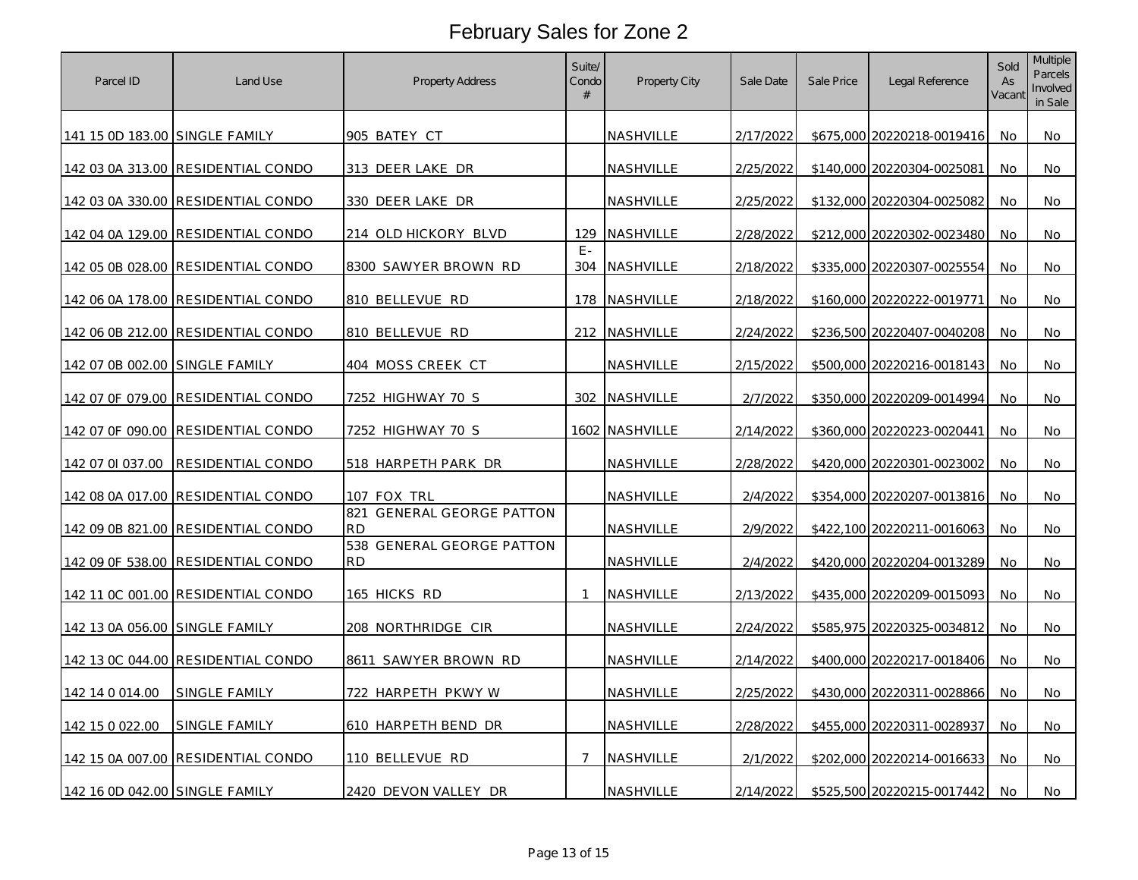| Parcel ID                      | Land Use                           | <b>Property Address</b>                          | Suite/<br>Condo<br># | Property City  | Sale Date | Sale Price | Legal Reference            | Sold<br>As<br>Vacant | <b>Multiple</b><br>Parcels<br>Involved<br>in Sale |
|--------------------------------|------------------------------------|--------------------------------------------------|----------------------|----------------|-----------|------------|----------------------------|----------------------|---------------------------------------------------|
| 141 15 0D 183.00 SINGLE FAMILY |                                    | 905 BATEY CT                                     |                      | NASHVILLE      | 2/17/2022 |            | \$675,000 20220218-0019416 | No                   | No                                                |
|                                | 142 03 0A 313.00 RESIDENTIAL CONDO | 313 DEER LAKE DR                                 |                      | NASHVILLE      | 2/25/2022 |            | \$140,000 20220304-0025081 | No                   | No                                                |
|                                | 142 03 0A 330.00 RESIDENTIAL CONDO | 330 DEER LAKE DR                                 |                      | NASHVILLE      | 2/25/2022 |            | \$132,000 20220304-0025082 | No                   | No                                                |
|                                | 142 04 0A 129.00 RESIDENTIAL CONDO | 214 OLD HICKORY BLVD                             |                      | 129 NASHVILLE  | 2/28/2022 |            | \$212,000 20220302-0023480 | No                   | No                                                |
|                                | 142 05 0B 028.00 RESIDENTIAL CONDO | 8300 SAWYER BROWN RD                             | $F -$                | 304 NASHVILLE  | 2/18/2022 |            | \$335,000 20220307-0025554 | No.                  | No                                                |
|                                | 142 06 0A 178.00 RESIDENTIAL CONDO | 810 BELLEVUE RD                                  |                      | 178 NASHVILLE  | 2/18/2022 |            | \$160,000 20220222-0019771 | No                   | No                                                |
|                                | 142 06 0B 212.00 RESIDENTIAL CONDO | 810 BELLEVUE RD                                  |                      | 212 NASHVILLE  | 2/24/2022 |            | \$236,500 20220407-0040208 | No                   | No                                                |
| 142 07 0B 002.00 SINGLE FAMILY |                                    | 404 MOSS CREEK CT                                |                      | NASHVILLE      | 2/15/2022 |            | \$500,000 20220216-0018143 | No                   | No                                                |
|                                | 142 07 OF 079.00 RESIDENTIAL CONDO | 7252 HIGHWAY 70 S                                |                      | 302 NASHVILLE  | 2/7/2022  |            | \$350,000 20220209-0014994 | No                   | No                                                |
|                                | 142 07 0F 090.00 RESIDENTIAL CONDO | 7252 HIGHWAY 70 S                                |                      | 1602 NASHVILLE | 2/14/2022 |            | \$360,000 20220223-0020441 | No                   | No                                                |
| 142 07 01 037.00               | RESIDENTIAL CONDO                  | 518 HARPETH PARK DR                              |                      | NASHVILLE      | 2/28/2022 |            | \$420,000 20220301-0023002 | No                   | No                                                |
|                                | 142 08 0A 017.00 RESIDENTIAL CONDO | 107 FOX TRL                                      |                      | NASHVILLE      | 2/4/2022  |            | \$354,000 20220207-0013816 | No                   | No                                                |
|                                | 142 09 0B 821.00 RESIDENTIAL CONDO | 821<br><b>GENERAL GEORGE PATTON</b><br><b>RD</b> |                      | NASHVILLE      | 2/9/2022  |            | \$422,100 20220211-0016063 | No.                  | No                                                |
|                                | 142 09 OF 538.00 RESIDENTIAL CONDO | 538 GENERAL GEORGE PATTON<br><b>RD</b>           |                      | NASHVILLE      | 2/4/2022  |            | \$420,000 20220204-0013289 | No                   | No                                                |
|                                | 142 11 0C 001.00 RESIDENTIAL CONDO | 165 HICKS RD                                     | -1                   | NASHVILLE      | 2/13/2022 |            | \$435,000 20220209-0015093 | No                   | No                                                |
| 142 13 0A 056.00 SINGLE FAMILY |                                    | 208 NORTHRIDGE CIR                               |                      | NASHVILLE      | 2/24/2022 |            | \$585,975 20220325-0034812 | No                   | No                                                |
|                                | 142 13 0C 044.00 RESIDENTIAL CONDO | 8611 SAWYER BROWN RD                             |                      | NASHVILLE      | 2/14/2022 |            | \$400,000 20220217-0018406 | No                   | No                                                |
| 142 14 0 014 00                | SINGLE FAMILY                      | 722 HARPETH PKWYW                                |                      | NASHVILLE      | 2/25/2022 |            | \$430,000 20220311-0028866 | No                   | No                                                |
| 142 15 0 022.00                | SINGLE FAMILY                      | 610 HARPETH BEND DR                              |                      | NASHVILLE      | 2/28/2022 |            | \$455,000 20220311-0028937 | No                   | No                                                |
|                                | 142 15 0A 007.00 RESIDENTIAL CONDO | 110 BELLEVUE RD                                  | $\overline{7}$       | NASHVILLE      | 2/1/2022  |            | \$202,000 20220214-0016633 | No                   | No                                                |
| 142 16 0D 042.00 SINGLE FAMILY |                                    | 2420 DEVON VALLEY DR                             |                      | NASHVILLE      | 2/14/2022 |            | \$525,500 20220215-0017442 | No                   | No                                                |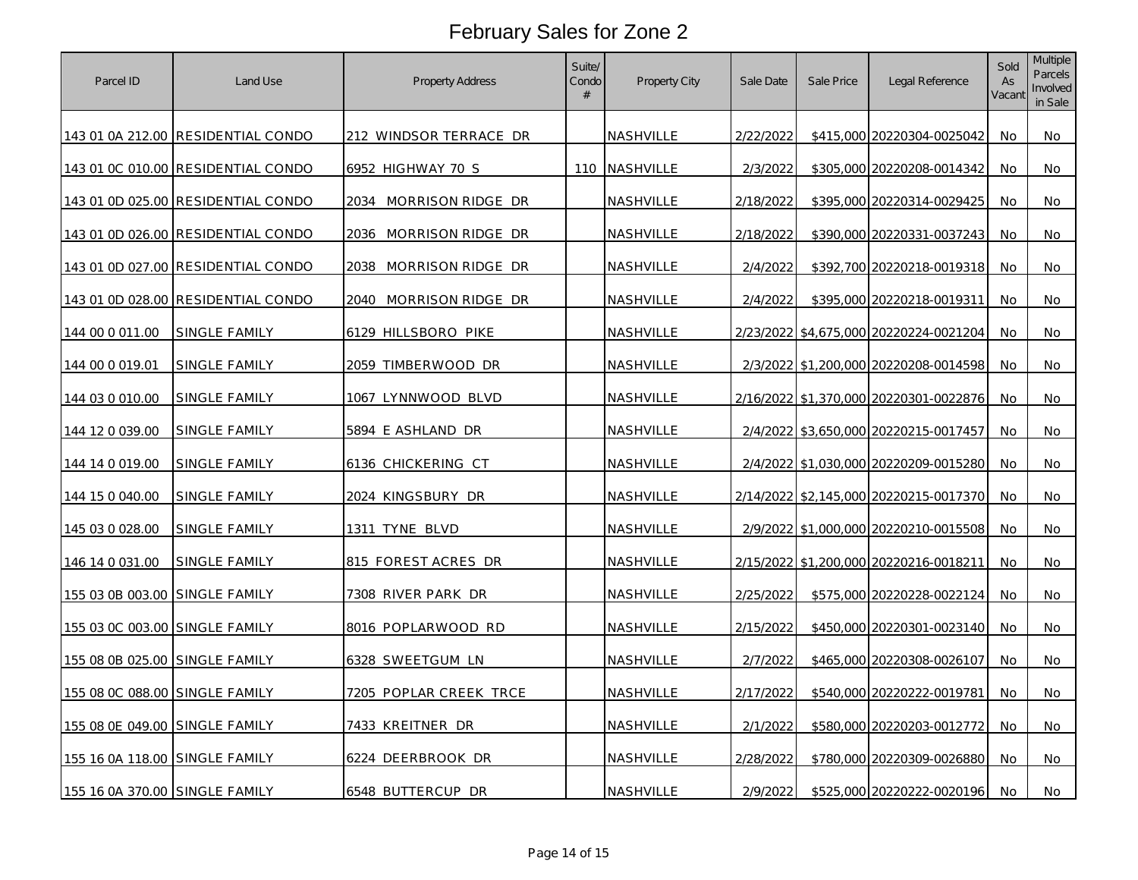| Parcel ID                      | Land Use                           | Property Address          | Suite/<br>Condo<br># | Property City    | Sale Date | Sale Price | Legal Reference                        | Sold<br>As<br>Vacant | Multiple<br>Parcels<br>Involved<br>in Sale |
|--------------------------------|------------------------------------|---------------------------|----------------------|------------------|-----------|------------|----------------------------------------|----------------------|--------------------------------------------|
|                                | 143 01 0A 212.00 RESIDENTIAL CONDO | 212 WINDSOR TERRACE DR    |                      | NASHVILLE        | 2/22/2022 |            | \$415,000 20220304-0025042             | No                   | No                                         |
|                                | 143 01 0C 010.00 RESIDENTIAL CONDO | 6952 HIGHWAY 70 S         |                      | 110 NASHVILLE    | 2/3/2022  |            | \$305,000 20220208-0014342             | No                   | No                                         |
|                                | 143 01 0D 025.00 RESIDENTIAL CONDO | MORRISON RIDGE DR<br>2034 |                      | NASHVILLE        | 2/18/2022 |            | \$395,000 20220314-0029425             | No                   | No                                         |
|                                | 143 01 0D 026.00 RESIDENTIAL CONDO | 2036 MORRISON RIDGE DR    |                      | NASHVILLE        | 2/18/2022 |            | \$390,000 20220331-0037243             | No                   | No                                         |
|                                | 143 01 0D 027.00 RESIDENTIAL CONDO | 2038 MORRISON RIDGE DR    |                      | NASHVILLE        | 2/4/2022  |            | \$392,700 20220218-0019318             | No                   | No                                         |
|                                | 143 01 0D 028.00 RESIDENTIAL CONDO | MORRISON RIDGE DR<br>2040 |                      | NASHVILLE        | 2/4/2022  |            | \$395,000 20220218-0019311             | No                   | No                                         |
| 144 00 0 011.00                | SINGLE FAMILY                      | 6129 HILLSBORO PIKE       |                      | NASHVILLE        |           |            | 2/23/2022 \$4,675,000 20220224-0021204 | No                   | No                                         |
| 144 00 0 019.01                | SINGLE FAMILY                      | 2059 TIMBERWOOD DR        |                      | NASHVILLE        |           |            | 2/3/2022 \$1,200,000 20220208-0014598  | No                   | No                                         |
| 144 03 0 010.00                | SINGLE FAMILY                      | 1067 LYNNWOOD BLVD        |                      | NASHVILLE        |           |            | 2/16/2022 \$1,370,000 20220301-0022876 | No                   | No                                         |
| 144 12 0 039.00                | SINGLE FAMILY                      | 5894 E ASHLAND DR         |                      | NASHVILLE        |           |            | 2/4/2022 \$3,650,000 20220215-0017457  | No                   | No                                         |
| 144 14 0 019.00                | <u>SINGLE FAMILY</u>               | <u>6136 CHICKERING CT</u> |                      | <u>NASHVILLE</u> |           |            | 2/4/2022 \$1,030,000 20220209-0015280  | No                   | No                                         |
| 144 15 0 040.00                | SINGLE FAMILY                      | 2024 KINGSBURY DR         |                      | NASHVILLE        |           |            | 2/14/2022 \$2,145,000 20220215-0017370 | No                   | No                                         |
| 145 03 0 028.00                | SINGLE FAMILY                      | 1311 TYNE BLVD            |                      | NASHVILLE        |           |            | 2/9/2022 \$1,000,000 20220210-0015508  | No                   | No                                         |
| 146 14 0 031.00                | SINGLE FAMILY                      | 815 FOREST ACRES DR       |                      | NASHVILLE        |           |            | 2/15/2022 \$1,200,000 20220216-0018211 | No                   | No                                         |
| 155 03 0B 003.00 SINGLE FAMILY |                                    | 7308 RIVER PARK DR        |                      | NASHVILLE        | 2/25/2022 |            | \$575,000 20220228-0022124             | No                   | No                                         |
| 155 03 0C 003.00 SINGLE FAMILY |                                    | 8016 POPLARWOOD RD        |                      | NASHVILLE        | 2/15/2022 |            | \$450,000 20220301-0023140             | No                   | No                                         |
| 155 08 0B 025.00 SINGLE FAMILY |                                    | 6328 SWEETGUM LN          |                      | NASHVILLE        | 2/7/2022  |            | \$465,000 20220308-0026107             | No                   | No                                         |
| 155 08 0C 088.00 SINGLE FAMILY |                                    | 7205 POPLAR CREEK TRCE    |                      | NASHVILLE        | 2/17/2022 |            | \$540,000 20220222-0019781             | No                   | No                                         |
| 155 08 0E 049.00 SINGLE FAMILY |                                    | 7433 KREITNER DR          |                      | NASHVILLE        | 2/1/2022  |            | \$580,000 20220203-0012772             | No                   | No                                         |
| 155 16 0A 118.00 SINGLE FAMILY |                                    | 6224 DEERBROOK DR         |                      | NASHVILLE        | 2/28/2022 |            | \$780,000 20220309-0026880             | No                   | No                                         |
| 155 16 0A 370.00 SINGLE FAMILY |                                    | 6548 BUTTERCUP DR         |                      | NASHVILLE        | 2/9/2022  |            | \$525,000 20220222-0020196             | No                   | No                                         |